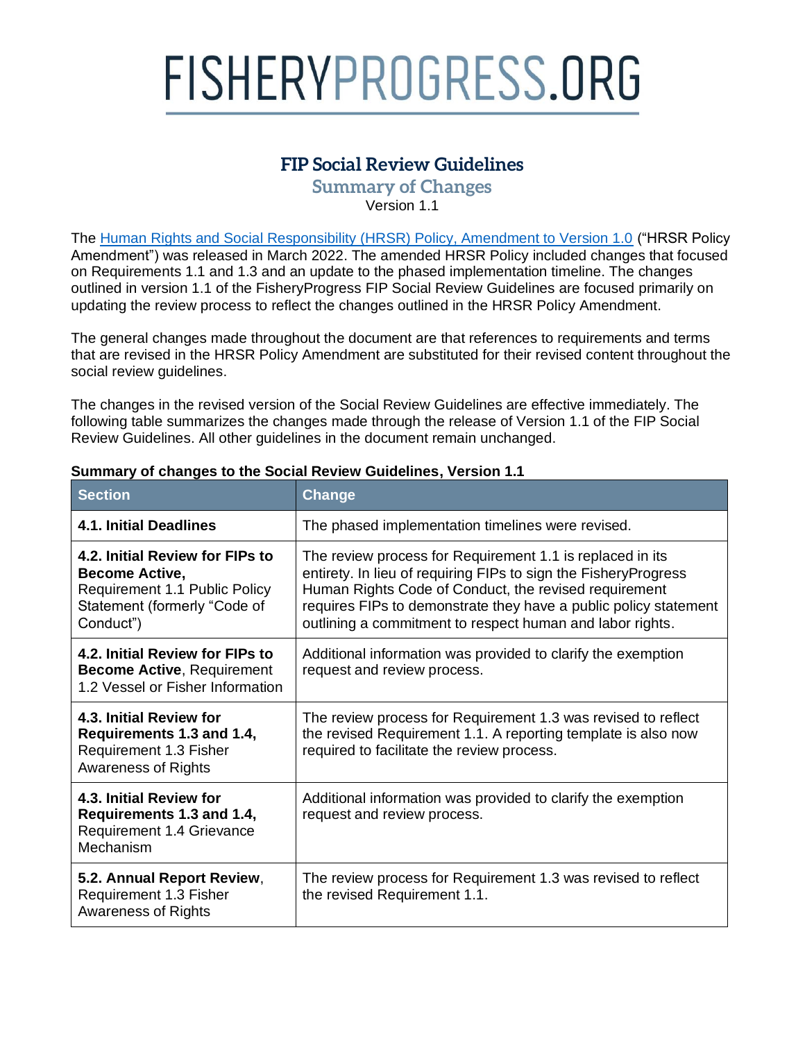# FISHERYPROGRESS.ORG

# **FIP Social Review Guidelines**

**Summary of Changes** Version 1.1

The [Human Rights and Social Responsibility \(HRSR\) Policy, Amendment to Version 1.0](https://fisheryprogress.org/social-responsibility/our-approach) ("HRSR Policy Amendment") was released in March 2022. The amended HRSR Policy included changes that focused on Requirements 1.1 and 1.3 and an update to the phased implementation timeline. The changes outlined in version 1.1 of the FisheryProgress FIP Social Review Guidelines are focused primarily on updating the review process to reflect the changes outlined in the HRSR Policy Amendment.

The general changes made throughout the document are that references to requirements and terms that are revised in the HRSR Policy Amendment are substituted for their revised content throughout the social review quidelines.

The changes in the revised version of the Social Review Guidelines are effective immediately. The following table summarizes the changes made through the release of Version 1.1 of the FIP Social Review Guidelines. All other guidelines in the document remain unchanged.

| <b>Section</b>                                                                                                                         | Change                                                                                                                                                                                                                                                                                                                 |
|----------------------------------------------------------------------------------------------------------------------------------------|------------------------------------------------------------------------------------------------------------------------------------------------------------------------------------------------------------------------------------------------------------------------------------------------------------------------|
| <b>4.1. Initial Deadlines</b>                                                                                                          | The phased implementation timelines were revised.                                                                                                                                                                                                                                                                      |
| 4.2. Initial Review for FIPs to<br><b>Become Active,</b><br>Requirement 1.1 Public Policy<br>Statement (formerly "Code of<br>Conduct") | The review process for Requirement 1.1 is replaced in its<br>entirety. In lieu of requiring FIPs to sign the FisheryProgress<br>Human Rights Code of Conduct, the revised requirement<br>requires FIPs to demonstrate they have a public policy statement<br>outlining a commitment to respect human and labor rights. |
| 4.2. Initial Review for FIPs to<br><b>Become Active, Requirement</b><br>1.2 Vessel or Fisher Information                               | Additional information was provided to clarify the exemption<br>request and review process.                                                                                                                                                                                                                            |
| 4.3. Initial Review for<br>Requirements 1.3 and 1.4,<br>Requirement 1.3 Fisher<br><b>Awareness of Rights</b>                           | The review process for Requirement 1.3 was revised to reflect<br>the revised Requirement 1.1. A reporting template is also now<br>required to facilitate the review process.                                                                                                                                           |
| 4.3. Initial Review for<br>Requirements 1.3 and 1.4,<br>Requirement 1.4 Grievance<br>Mechanism                                         | Additional information was provided to clarify the exemption<br>request and review process.                                                                                                                                                                                                                            |
| 5.2. Annual Report Review,<br>Requirement 1.3 Fisher<br><b>Awareness of Rights</b>                                                     | The review process for Requirement 1.3 was revised to reflect<br>the revised Requirement 1.1.                                                                                                                                                                                                                          |

#### **Summary of changes to the Social Review Guidelines, Version 1.1**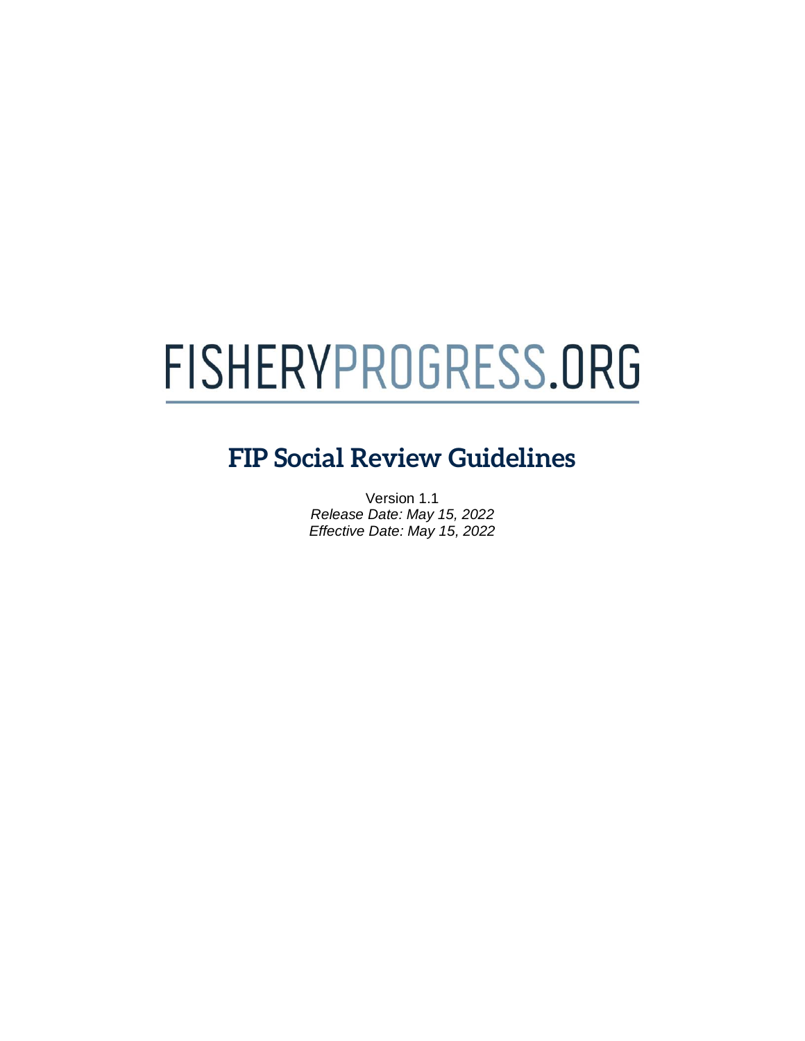# FISHERYPROGRESS.ORG

# **FIP Social Review Guidelines**

Version 1.1 *Release Date: May 15, 2022 Effective Date: May 15, 2022*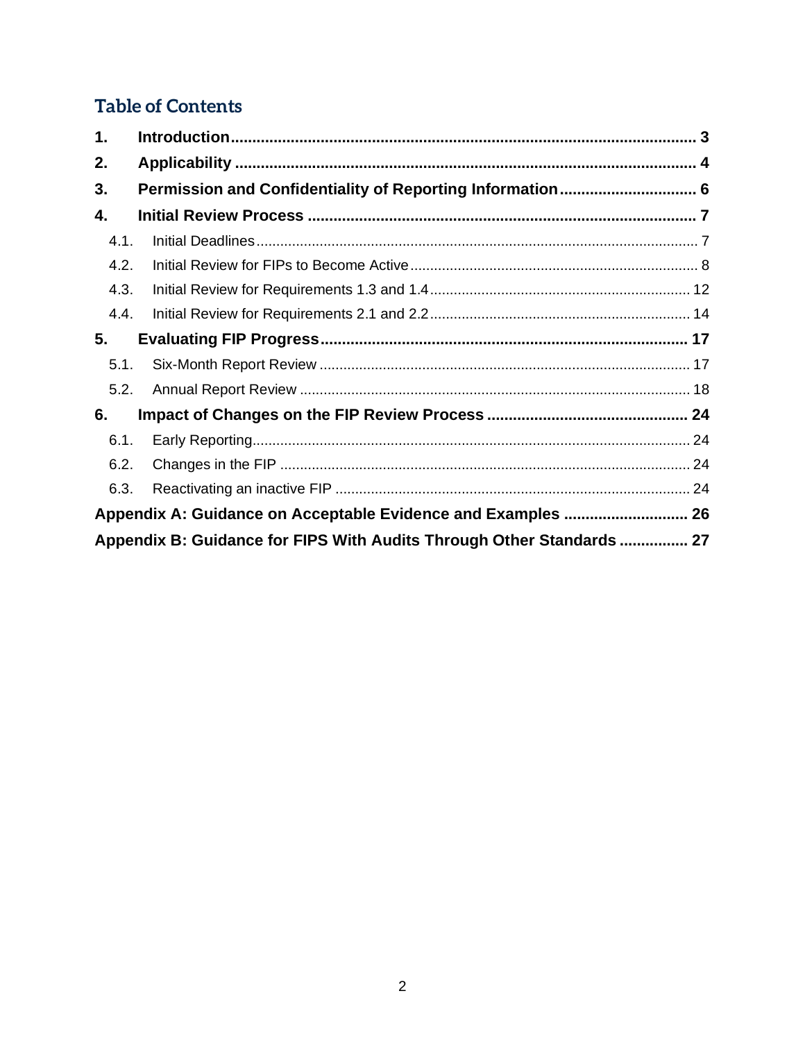# **Table of Contents**

| 1.   |                                                                       |  |
|------|-----------------------------------------------------------------------|--|
| 2.   |                                                                       |  |
| 3.   |                                                                       |  |
| 4.   |                                                                       |  |
| 4.1. |                                                                       |  |
| 4.2. |                                                                       |  |
| 4.3. |                                                                       |  |
| 4.4. |                                                                       |  |
| 5.   |                                                                       |  |
| 5.1. |                                                                       |  |
| 5.2. |                                                                       |  |
| 6.   |                                                                       |  |
| 6.1. |                                                                       |  |
| 6.2. |                                                                       |  |
| 6.3. |                                                                       |  |
|      | Appendix A: Guidance on Acceptable Evidence and Examples  26          |  |
|      | Appendix B: Guidance for FIPS With Audits Through Other Standards  27 |  |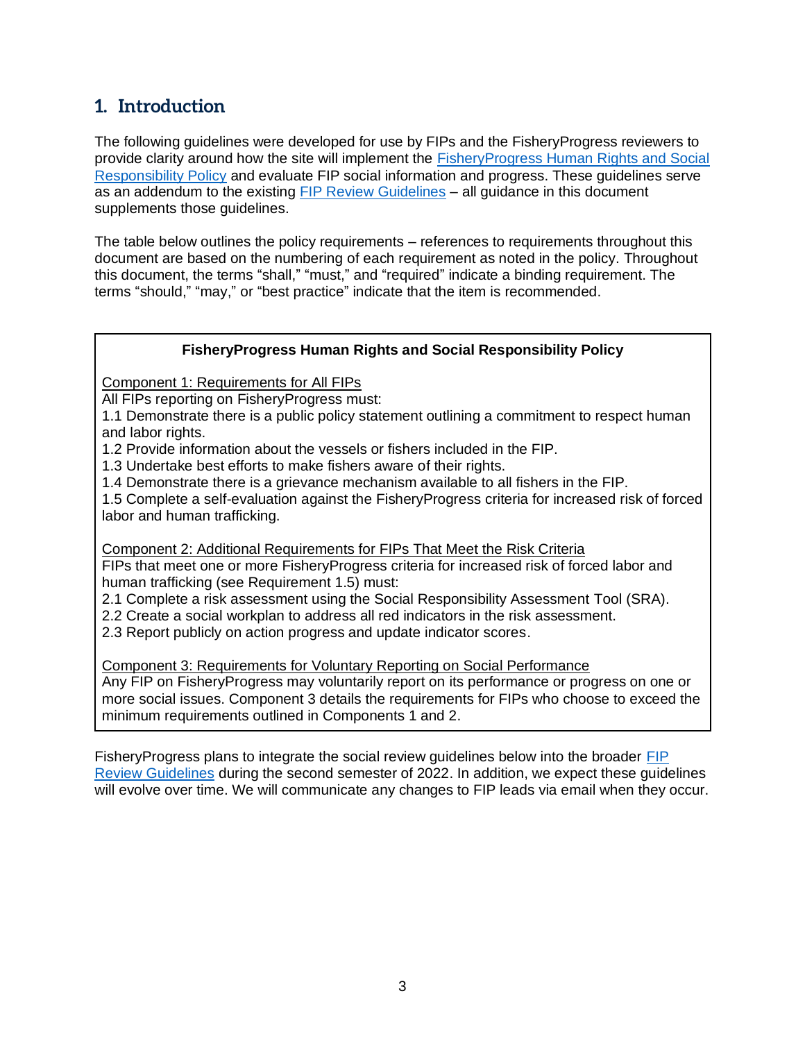# <span id="page-3-0"></span>**1. Introduction**

The following guidelines were developed for use by FIPs and the FisheryProgress reviewers to provide clarity around how the site will implement the [FisheryProgress Human Rights and Social](http://www.fisheryprogress.org/social-responsibility)  [Responsibility Policy](http://www.fisheryprogress.org/social-responsibility) and evaluate FIP social information and progress. These guidelines serve as an addendum to the existing [FIP Review Guidelines](https://fisheryprogress.org/sites/default/files/document_files/FisheryProgress%20org%20Review%20Guidelines%202020%20-%20FINAL.pdf) – all guidance in this document supplements those guidelines.

The table below outlines the policy requirements – references to requirements throughout this document are based on the numbering of each requirement as noted in the policy. Throughout this document, the terms "shall," "must," and "required" indicate a binding requirement. The terms "should," "may," or "best practice" indicate that the item is recommended.

## **FisheryProgress Human Rights and Social Responsibility Policy**

Component 1: Requirements for All FIPs

All FIPs reporting on FisheryProgress must:

1.1 Demonstrate there is a public policy statement outlining a commitment to respect human and labor rights.

1.2 Provide information about the vessels or fishers included in the FIP.

1.3 Undertake best efforts to make fishers aware of their rights.

1.4 Demonstrate there is a grievance mechanism available to all fishers in the FIP.

1.5 Complete a self-evaluation against the FisheryProgress criteria for increased risk of forced labor and human trafficking.

Component 2: Additional Requirements for FIPs That Meet the Risk Criteria FIPs that meet one or more FisheryProgress criteria for increased risk of forced labor and human trafficking (see Requirement 1.5) must:

2.1 Complete a risk assessment using the Social Responsibility Assessment Tool (SRA).

- 2.2 Create a social workplan to address all red indicators in the risk assessment.
- 2.3 Report publicly on action progress and update indicator scores.

Component 3: Requirements for Voluntary Reporting on Social Performance

Any FIP on FisheryProgress may voluntarily report on its performance or progress on one or more social issues. Component 3 details the requirements for FIPs who choose to exceed the minimum requirements outlined in Components 1 and 2.

FisheryProgress plans to integrate the social review guidelines below into the broader [FIP](https://fisheryprogress.org/sites/default/files/document_files/FisheryProgress%20org%20Review%20Guidelines%202020%20-%20FINAL.pdf)  [Review Guidelines](https://fisheryprogress.org/sites/default/files/document_files/FisheryProgress%20org%20Review%20Guidelines%202020%20-%20FINAL.pdf) during the second semester of 2022. In addition, we expect these guidelines will evolve over time. We will communicate any changes to FIP leads via email when they occur.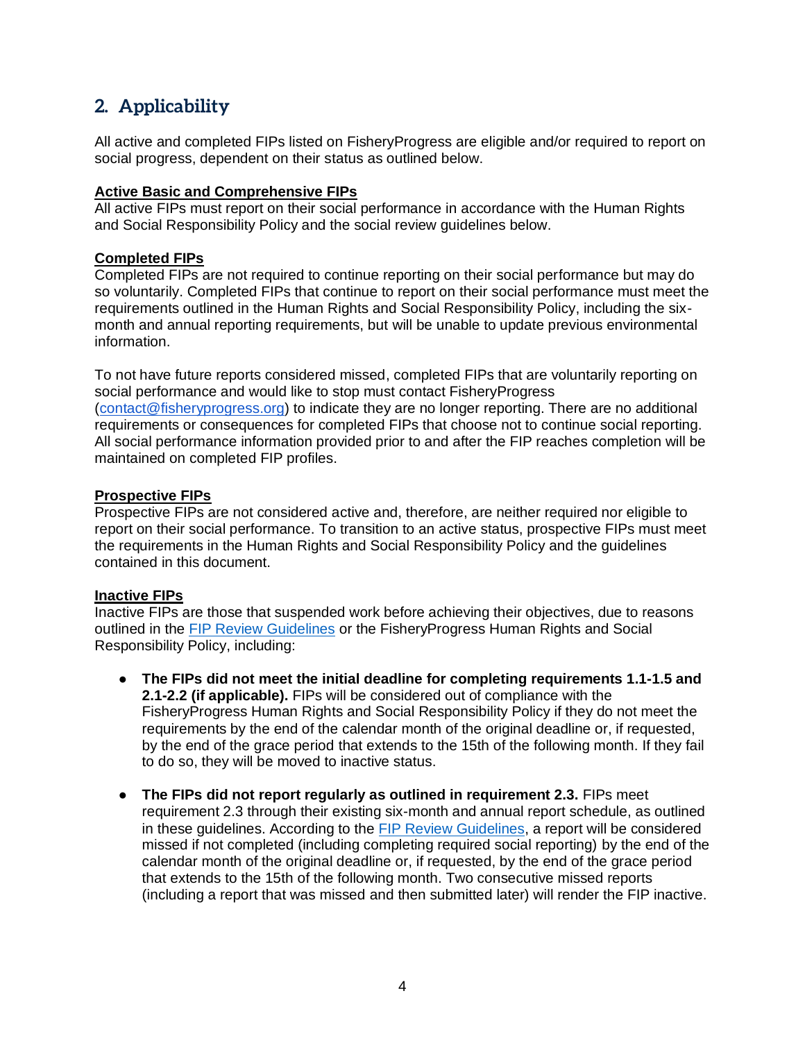# <span id="page-4-0"></span>**2. Applicability**

All active and completed FIPs listed on FisheryProgress are eligible and/or required to report on social progress, dependent on their status as outlined below.

### **Active Basic and Comprehensive FIPs**

All active FIPs must report on their social performance in accordance with the Human Rights and Social Responsibility Policy and the social review guidelines below.

#### **Completed FIPs**

Completed FIPs are not required to continue reporting on their social performance but may do so voluntarily. Completed FIPs that continue to report on their social performance must meet the requirements outlined in the Human Rights and Social Responsibility Policy, including the sixmonth and annual reporting requirements, but will be unable to update previous environmental information.

To not have future reports considered missed, completed FIPs that are voluntarily reporting on social performance and would like to stop must contact FisheryProgress [\(contact@fisheryprogress.org\)](mailto:contact@fisheryprogress.org) to indicate they are no longer reporting. There are no additional requirements or consequences for completed FIPs that choose not to continue social reporting. All social performance information provided prior to and after the FIP reaches completion will be maintained on completed FIP profiles.

#### **Prospective FIPs**

Prospective FIPs are not considered active and, therefore, are neither required nor eligible to report on their social performance. To transition to an active status, prospective FIPs must meet the requirements in the Human Rights and Social Responsibility Policy and the guidelines contained in this document.

#### **Inactive FIPs**

Inactive FIPs are those that suspended work before achieving their objectives, due to reasons outlined in the [FIP Review Guidelines](https://fisheryprogress.org/sites/default/files/document_files/FisheryProgress%20org%20Review%20Guidelines%202020%20-%20FINAL.pdf) or the FisheryProgress Human Rights and Social Responsibility Policy, including:

- **The FIPs did not meet the initial deadline for completing requirements 1.1-1.5 and 2.1-2.2 (if applicable).** FIPs will be considered out of compliance with the FisheryProgress Human Rights and Social Responsibility Policy if they do not meet the requirements by the end of the calendar month of the original deadline or, if requested, by the end of the grace period that extends to the 15th of the following month. If they fail to do so, they will be moved to inactive status.
- **The FIPs did not report regularly as outlined in requirement 2.3.** FIPs meet requirement 2.3 through their existing six-month and annual report schedule, as outlined in these guidelines. According to the [FIP Review Guidelines,](https://fisheryprogress.org/sites/default/files/document_files/FisheryProgress%20org%20Review%20Guidelines%202020%20-%20FINAL.pdf) a report will be considered missed if not completed (including completing required social reporting) by the end of the calendar month of the original deadline or, if requested, by the end of the grace period that extends to the 15th of the following month. Two consecutive missed reports (including a report that was missed and then submitted later) will render the FIP inactive.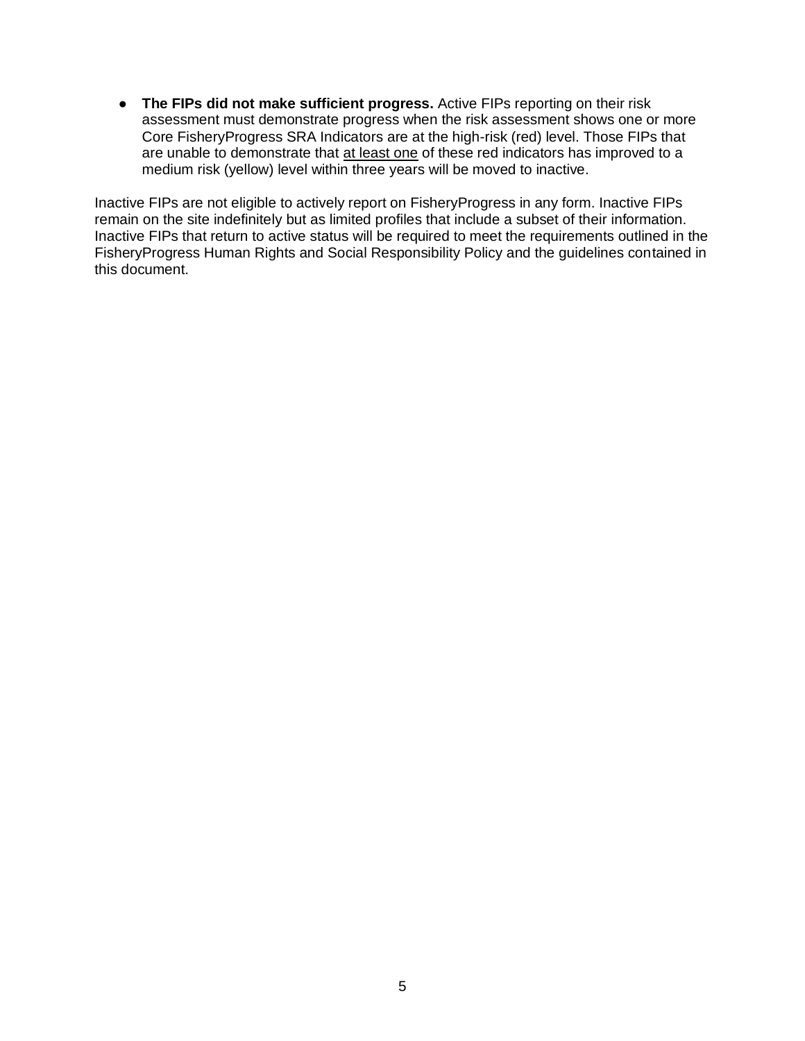● **The FIPs did not make sufficient progress.** Active FIPs reporting on their risk assessment must demonstrate progress when the risk assessment shows one or more Core FisheryProgress SRA Indicators are at the high-risk (red) level. Those FIPs that are unable to demonstrate that at least one of these red indicators has improved to a medium risk (yellow) level within three years will be moved to inactive.

Inactive FIPs are not eligible to actively report on FisheryProgress in any form. Inactive FIPs remain on the site indefinitely but as limited profiles that include a subset of their information. Inactive FIPs that return to active status will be required to meet the requirements outlined in the FisheryProgress Human Rights and Social Responsibility Policy and the guidelines contained in this document.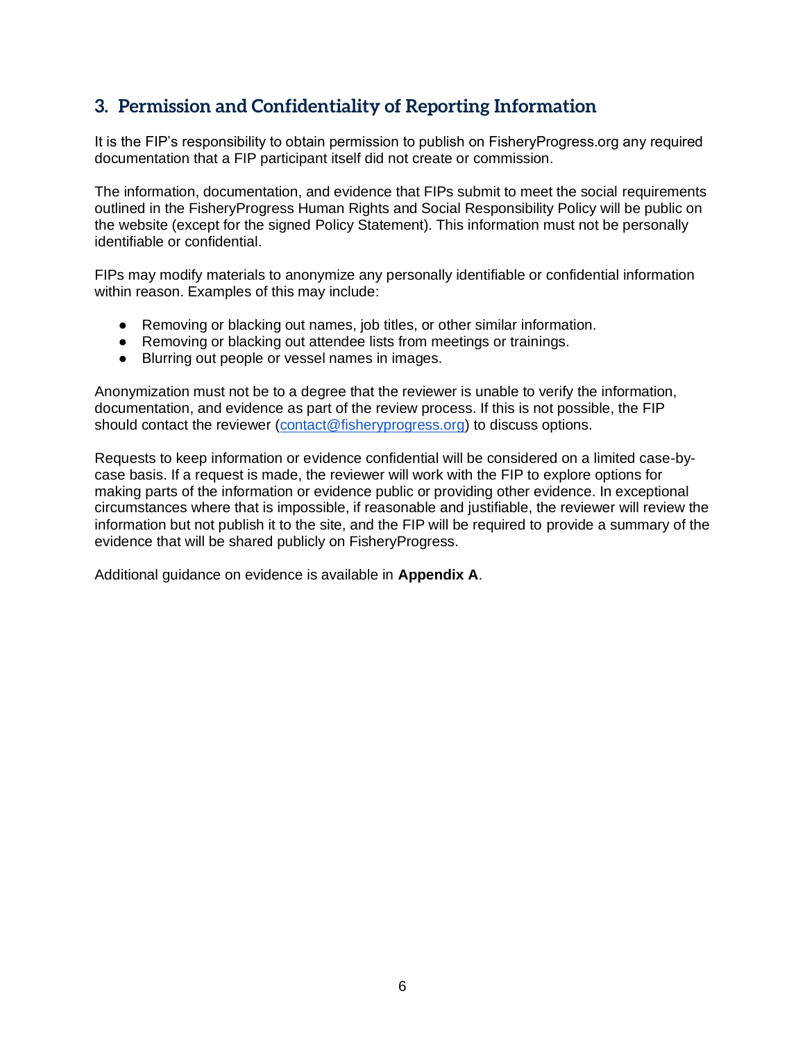# <span id="page-6-0"></span>**3. Permission and Confidentiality of Reporting Information**

It is the FIP's responsibility to obtain permission to publish on FisheryProgress.org any required documentation that a FIP participant itself did not create or commission.

The information, documentation, and evidence that FIPs submit to meet the social requirements outlined in the FisheryProgress Human Rights and Social Responsibility Policy will be public on the website (except for the signed Policy Statement). This information must not be personally identifiable or confidential.

FIPs may modify materials to anonymize any personally identifiable or confidential information within reason. Examples of this may include:

- Removing or blacking out names, job titles, or other similar information.
- Removing or blacking out attendee lists from meetings or trainings.
- Blurring out people or vessel names in images.

Anonymization must not be to a degree that the reviewer is unable to verify the information, documentation, and evidence as part of the review process. If this is not possible, the FIP should contact the reviewer [\(contact@fisheryprogress.org\)](mailto:contact@fisheryprogress.org) to discuss options.

Requests to keep information or evidence confidential will be considered on a limited case-bycase basis. If a request is made, the reviewer will work with the FIP to explore options for making parts of the information or evidence public or providing other evidence. In exceptional circumstances where that is impossible, if reasonable and justifiable, the reviewer will review the information but not publish it to the site, and the FIP will be required to provide a summary of the evidence that will be shared publicly on FisheryProgress.

Additional guidance on evidence is available in **Appendix A**.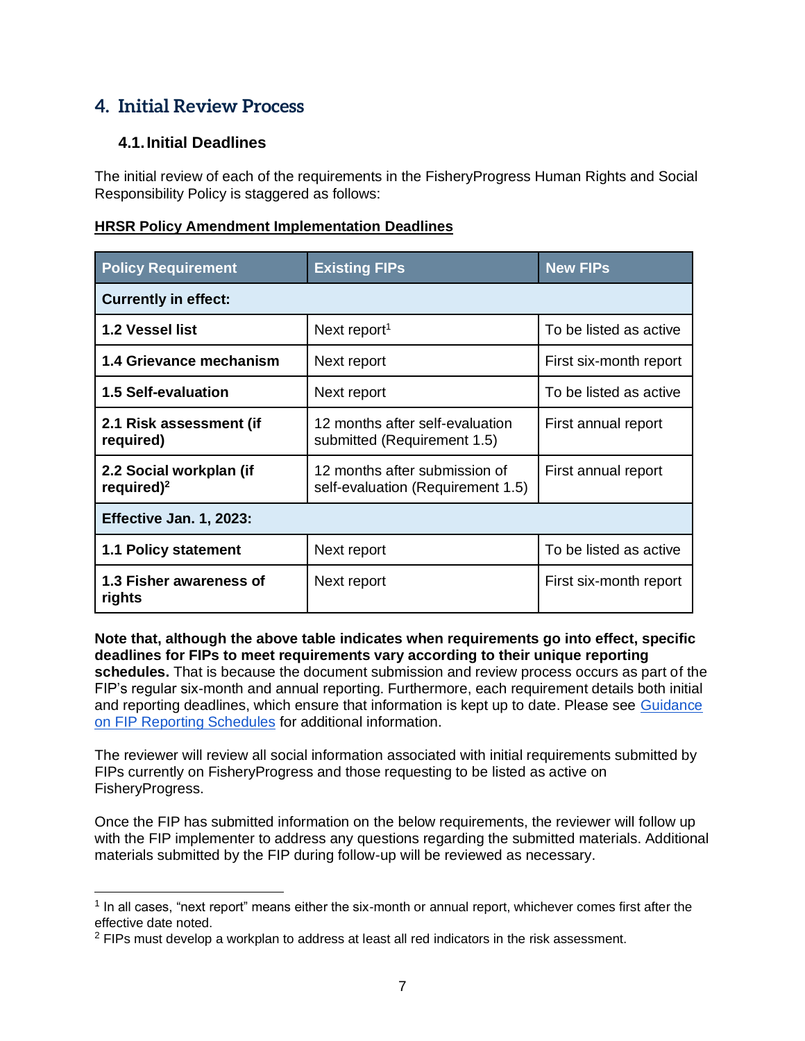# <span id="page-7-0"></span>**4. Initial Review Process**

# <span id="page-7-1"></span>**4.1.Initial Deadlines**

The initial review of each of the requirements in the FisheryProgress Human Rights and Social Responsibility Policy is staggered as follows:

## **HRSR Policy Amendment Implementation Deadlines**

| <b>Policy Requirement</b>                | <b>Existing FIPs</b>                                               | <b>New FIPs</b>        |  |
|------------------------------------------|--------------------------------------------------------------------|------------------------|--|
| <b>Currently in effect:</b>              |                                                                    |                        |  |
| 1.2 Vessel list                          | Next report <sup>1</sup>                                           | To be listed as active |  |
| 1.4 Grievance mechanism                  | Next report                                                        | First six-month report |  |
| <b>1.5 Self-evaluation</b>               | Next report                                                        | To be listed as active |  |
| 2.1 Risk assessment (if<br>required)     | 12 months after self-evaluation<br>submitted (Requirement 1.5)     | First annual report    |  |
| 2.2 Social workplan (if<br>required) $2$ | 12 months after submission of<br>self-evaluation (Requirement 1.5) | First annual report    |  |
| Effective Jan. 1, 2023:                  |                                                                    |                        |  |
| <b>1.1 Policy statement</b>              | Next report                                                        | To be listed as active |  |
| 1.3 Fisher awareness of<br>rights        | Next report                                                        | First six-month report |  |

**Note that, although the above table indicates when requirements go into effect, specific deadlines for FIPs to meet requirements vary according to their unique reporting** 

**schedules.** That is because the document submission and review process occurs as part of the FIP's regular six-month and annual reporting. Furthermore, each requirement details both initial and reporting deadlines, which ensure that information is kept up to date. Please see [Guidance](https://fisheryprogress.org/sites/default/files/FP%20Social_Reporting%20Schedule%20Guidance.pdf)  [on FIP Reporting Schedules](https://fisheryprogress.org/sites/default/files/FP%20Social_Reporting%20Schedule%20Guidance.pdf) for additional information.

The reviewer will review all social information associated with initial requirements submitted by FIPs currently on FisheryProgress and those requesting to be listed as active on FisheryProgress.

Once the FIP has submitted information on the below requirements, the reviewer will follow up with the FIP implementer to address any questions regarding the submitted materials. Additional materials submitted by the FIP during follow-up will be reviewed as necessary.

 $1$  In all cases, "next report" means either the six-month or annual report, whichever comes first after the effective date noted.

 $<sup>2</sup>$  FIPs must develop a workplan to address at least all red indicators in the risk assessment.</sup>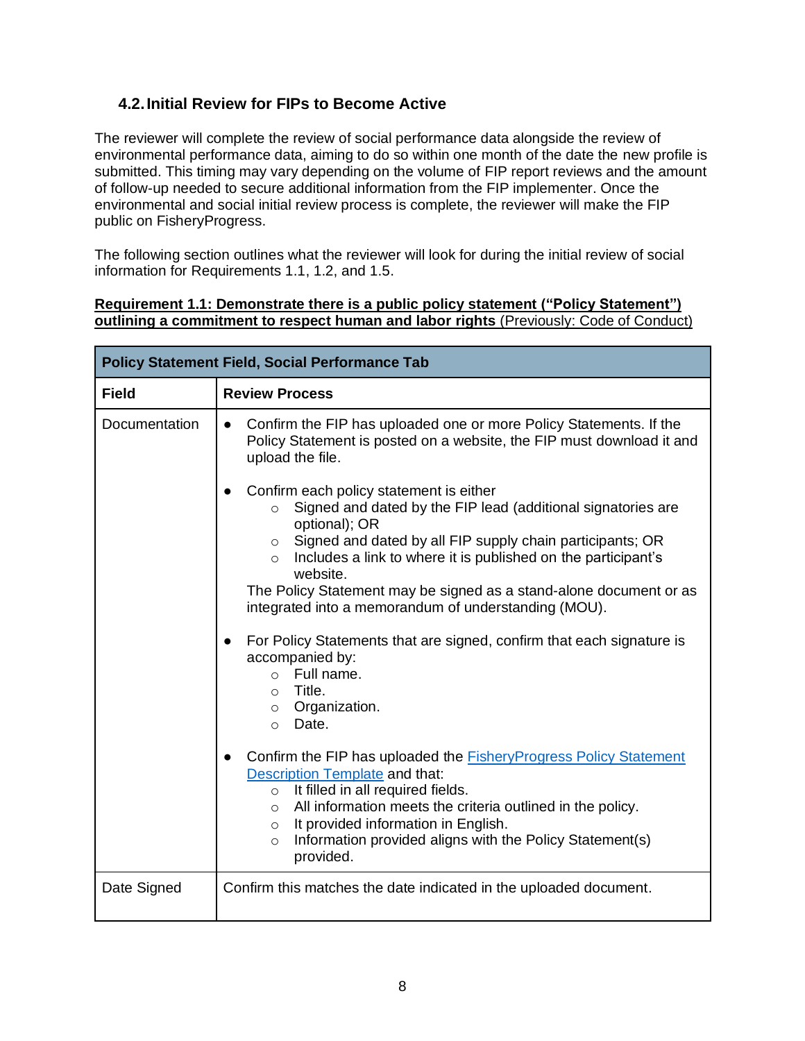# <span id="page-8-0"></span>**4.2.Initial Review for FIPs to Become Active**

The reviewer will complete the review of social performance data alongside the review of environmental performance data, aiming to do so within one month of the date the new profile is submitted. This timing may vary depending on the volume of FIP report reviews and the amount of follow-up needed to secure additional information from the FIP implementer. Once the environmental and social initial review process is complete, the reviewer will make the FIP public on FisheryProgress.

The following section outlines what the reviewer will look for during the initial review of social information for Requirements 1.1, 1.2, and 1.5.

## **Requirement 1.1: Demonstrate there is a public policy statement ("Policy Statement") outlining a commitment to respect human and labor rights** (Previously: Code of Conduct)

| <b>Policy Statement Field, Social Performance Tab</b> |                                                                                                                                                                                                                                          |  |
|-------------------------------------------------------|------------------------------------------------------------------------------------------------------------------------------------------------------------------------------------------------------------------------------------------|--|
| <b>Field</b>                                          | <b>Review Process</b>                                                                                                                                                                                                                    |  |
| Documentation                                         | Confirm the FIP has uploaded one or more Policy Statements. If the<br>Policy Statement is posted on a website, the FIP must download it and<br>upload the file.                                                                          |  |
|                                                       | Confirm each policy statement is either<br>$\bullet$<br>Signed and dated by the FIP lead (additional signatories are<br>$\circ$<br>optional); OR<br>Signed and dated by all FIP supply chain participants; OR<br>$\circ$                 |  |
|                                                       | Includes a link to where it is published on the participant's<br>$\circ$<br>website.<br>The Policy Statement may be signed as a stand-alone document or as<br>integrated into a memorandum of understanding (MOU).                       |  |
|                                                       | For Policy Statements that are signed, confirm that each signature is<br>accompanied by:<br>$\circ$ Full name.<br>Title.<br>$\circ$<br>$\circ$ Organization.<br>Date.<br>$\circ$                                                         |  |
|                                                       | Confirm the FIP has uploaded the <b>Fishery Progress Policy Statement</b><br><b>Description Template and that:</b><br>$\circ$ It filled in all required fields.<br>All information meets the criteria outlined in the policy.<br>$\circ$ |  |
|                                                       | It provided information in English.<br>$\circ$<br>Information provided aligns with the Policy Statement(s)<br>$\circ$<br>provided.                                                                                                       |  |
| Date Signed                                           | Confirm this matches the date indicated in the uploaded document.                                                                                                                                                                        |  |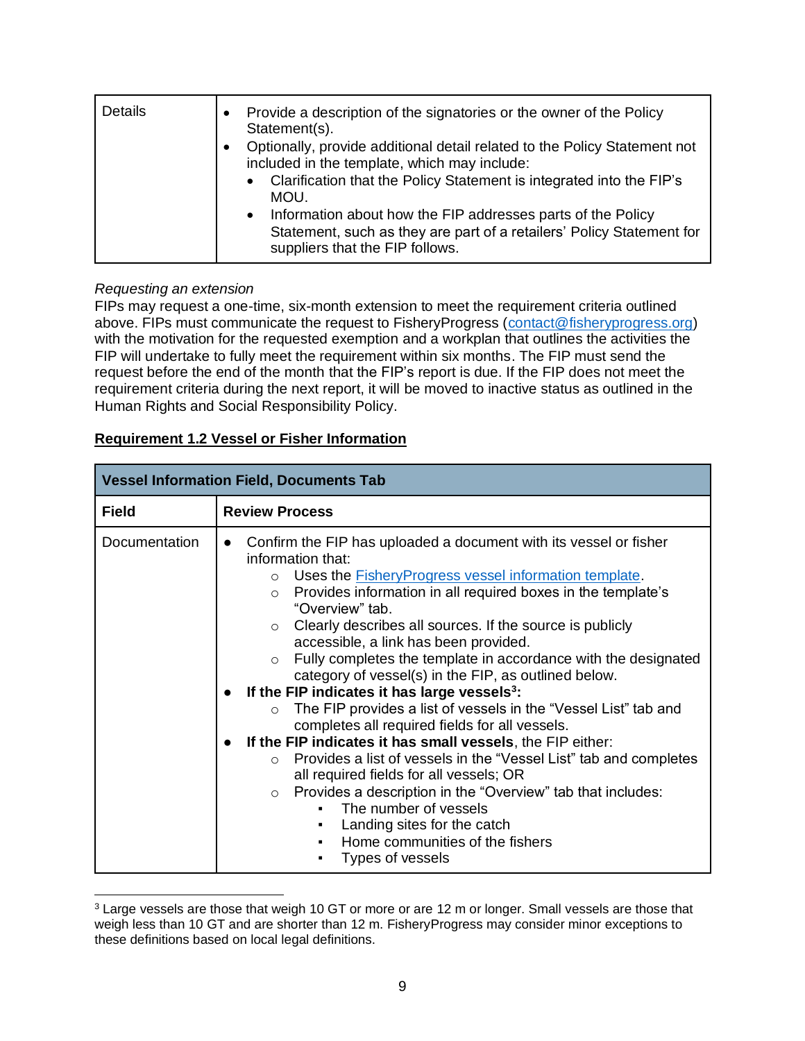| Details | Provide a description of the signatories or the owner of the Policy<br>Statement(s).<br>Optionally, provide additional detail related to the Policy Statement not<br>included in the template, which may include:<br>Clarification that the Policy Statement is integrated into the FIP's<br>$\bullet$<br>MOU.<br>Information about how the FIP addresses parts of the Policy<br>$\bullet$<br>Statement, such as they are part of a retailers' Policy Statement for<br>suppliers that the FIP follows. |
|---------|--------------------------------------------------------------------------------------------------------------------------------------------------------------------------------------------------------------------------------------------------------------------------------------------------------------------------------------------------------------------------------------------------------------------------------------------------------------------------------------------------------|
|         |                                                                                                                                                                                                                                                                                                                                                                                                                                                                                                        |

### *Requesting an extension*

FIPs may request a one-time, six-month extension to meet the requirement criteria outlined above. FIPs must communicate the request to FisheryProgress [\(contact@fisheryprogress.org\)](mailto:contact@fisheryprogress.org) with the motivation for the requested exemption and a workplan that outlines the activities the FIP will undertake to fully meet the requirement within six months. The FIP must send the request before the end of the month that the FIP's report is due. If the FIP does not meet the requirement criteria during the next report, it will be moved to inactive status as outlined in the Human Rights and Social Responsibility Policy.

| <b>Vessel Information Field, Documents Tab</b> |                                                                                                                                                                                                                                                                                                                                                                                                                                                                                                                                                                                                                                                                                                                                                                                                                                                                                                                                                                                                                                                                                           |  |
|------------------------------------------------|-------------------------------------------------------------------------------------------------------------------------------------------------------------------------------------------------------------------------------------------------------------------------------------------------------------------------------------------------------------------------------------------------------------------------------------------------------------------------------------------------------------------------------------------------------------------------------------------------------------------------------------------------------------------------------------------------------------------------------------------------------------------------------------------------------------------------------------------------------------------------------------------------------------------------------------------------------------------------------------------------------------------------------------------------------------------------------------------|--|
| <b>Field</b>                                   | <b>Review Process</b>                                                                                                                                                                                                                                                                                                                                                                                                                                                                                                                                                                                                                                                                                                                                                                                                                                                                                                                                                                                                                                                                     |  |
| Documentation                                  | Confirm the FIP has uploaded a document with its vessel or fisher<br>information that:<br>o Uses the Fishery Progress vessel information template.<br>Provides information in all required boxes in the template's<br>$\circ$<br>"Overview" tab.<br>$\circ$ Clearly describes all sources. If the source is publicly<br>accessible, a link has been provided.<br>Fully completes the template in accordance with the designated<br>$\circ$<br>category of vessel(s) in the FIP, as outlined below.<br>If the FIP indicates it has large vessels <sup>3</sup> :<br>The FIP provides a list of vessels in the "Vessel List" tab and<br>$\circ$<br>completes all required fields for all vessels.<br>If the FIP indicates it has small vessels, the FIP either:<br>Provides a list of vessels in the "Vessel List" tab and completes<br>$\cap$<br>all required fields for all vessels; OR<br>Provides a description in the "Overview" tab that includes:<br>$\circ$<br>The number of vessels<br>Landing sites for the catch<br>٠<br>Home communities of the fishers<br>٠<br>Types of vessels |  |

## **Requirement 1.2 Vessel or Fisher Information**

<sup>&</sup>lt;sup>3</sup> Large vessels are those that weigh 10 GT or more or are 12 m or longer. Small vessels are those that weigh less than 10 GT and are shorter than 12 m. FisheryProgress may consider minor exceptions to these definitions based on local legal definitions.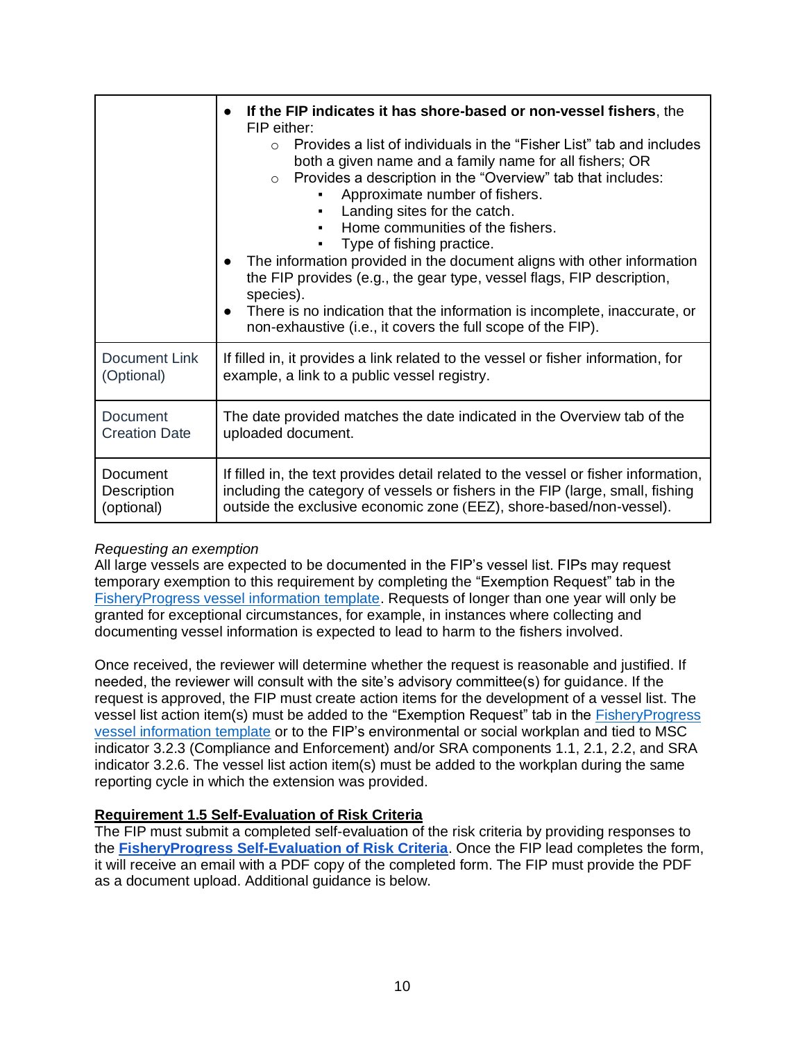|                      | If the FIP indicates it has shore-based or non-vessel fishers, the<br>$\bullet$<br>FIP either:<br>Provides a list of individuals in the "Fisher List" tab and includes<br>$\bigcap$<br>both a given name and a family name for all fishers; OR<br>Provides a description in the "Overview" tab that includes:<br>$\circ$<br>Approximate number of fishers.<br>Landing sites for the catch.<br>٠<br>Home communities of the fishers.<br>Type of fishing practice.<br>The information provided in the document aligns with other information<br>$\bullet$<br>the FIP provides (e.g., the gear type, vessel flags, FIP description,<br>species).<br>There is no indication that the information is incomplete, inaccurate, or<br>$\bullet$<br>non-exhaustive (i.e., it covers the full scope of the FIP). |
|----------------------|--------------------------------------------------------------------------------------------------------------------------------------------------------------------------------------------------------------------------------------------------------------------------------------------------------------------------------------------------------------------------------------------------------------------------------------------------------------------------------------------------------------------------------------------------------------------------------------------------------------------------------------------------------------------------------------------------------------------------------------------------------------------------------------------------------|
| <b>Document Link</b> | If filled in, it provides a link related to the vessel or fisher information, for                                                                                                                                                                                                                                                                                                                                                                                                                                                                                                                                                                                                                                                                                                                      |
| (Optional)           | example, a link to a public vessel registry.                                                                                                                                                                                                                                                                                                                                                                                                                                                                                                                                                                                                                                                                                                                                                           |
| Document             | The date provided matches the date indicated in the Overview tab of the                                                                                                                                                                                                                                                                                                                                                                                                                                                                                                                                                                                                                                                                                                                                |
| <b>Creation Date</b> | uploaded document.                                                                                                                                                                                                                                                                                                                                                                                                                                                                                                                                                                                                                                                                                                                                                                                     |
| Document             | If filled in, the text provides detail related to the vessel or fisher information,                                                                                                                                                                                                                                                                                                                                                                                                                                                                                                                                                                                                                                                                                                                    |
| Description          | including the category of vessels or fishers in the FIP (large, small, fishing                                                                                                                                                                                                                                                                                                                                                                                                                                                                                                                                                                                                                                                                                                                         |
| (optional)           | outside the exclusive economic zone (EEZ), shore-based/non-vessel).                                                                                                                                                                                                                                                                                                                                                                                                                                                                                                                                                                                                                                                                                                                                    |

### *Requesting an exemption*

All large vessels are expected to be documented in the FIP's vessel list. FIPs may request temporary exemption to this requirement by completing the "Exemption Request" tab in the [FisheryProgress vessel information template.](https://fisheryprogress.org/resources/launching-fip) Requests of longer than one year will only be granted for exceptional circumstances, for example, in instances where collecting and documenting vessel information is expected to lead to harm to the fishers involved.

Once received, the reviewer will determine whether the request is reasonable and justified. If needed, the reviewer will consult with the site's advisory committee(s) for guidance. If the request is approved, the FIP must create action items for the development of a vessel list. The vessel list action item(s) must be added to the "Exemption Request" tab in the **FisheryProgress** [vessel information template](https://fisheryprogress.org/resources/launching-fip) or to the FIP's environmental or social workplan and tied to MSC indicator 3.2.3 (Compliance and Enforcement) and/or SRA components 1.1, 2.1, 2.2, and SRA indicator 3.2.6. The vessel list action item(s) must be added to the workplan during the same reporting cycle in which the extension was provided.

### **Requirement 1.5 Self-Evaluation of Risk Criteria**

The FIP must submit a completed self-evaluation of the risk criteria by providing responses to the **[FisheryProgress Self-Evaluation of Risk Criteria](https://form.jotform.com/FisheryProgress/self-evaluation-of-risk-criteria)**. Once the FIP lead completes the form, it will receive an email with a PDF copy of the completed form. The FIP must provide the PDF as a document upload. Additional guidance is below.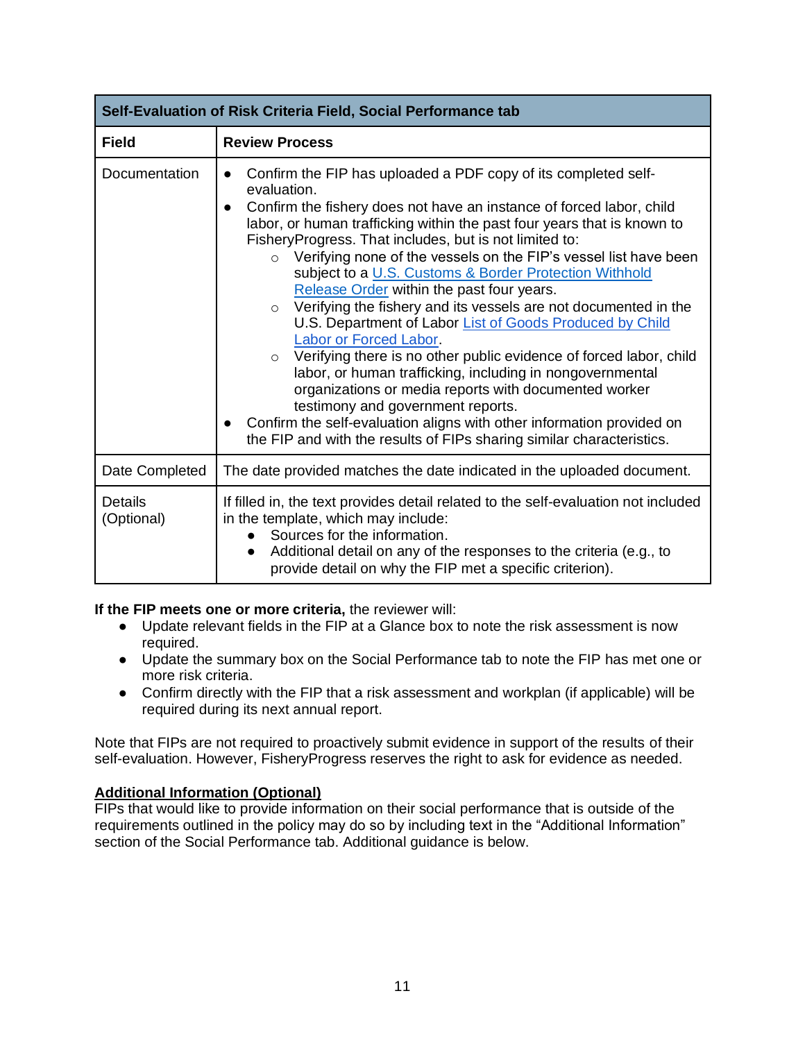| Self-Evaluation of Risk Criteria Field, Social Performance tab |                                                                                                                                                                                                                                                                                                                                                                                                                                                                                                                                                                                                                                                                                                                                                                                                                                                                                                                                                                                                                                           |  |
|----------------------------------------------------------------|-------------------------------------------------------------------------------------------------------------------------------------------------------------------------------------------------------------------------------------------------------------------------------------------------------------------------------------------------------------------------------------------------------------------------------------------------------------------------------------------------------------------------------------------------------------------------------------------------------------------------------------------------------------------------------------------------------------------------------------------------------------------------------------------------------------------------------------------------------------------------------------------------------------------------------------------------------------------------------------------------------------------------------------------|--|
| <b>Field</b>                                                   | <b>Review Process</b>                                                                                                                                                                                                                                                                                                                                                                                                                                                                                                                                                                                                                                                                                                                                                                                                                                                                                                                                                                                                                     |  |
| Documentation                                                  | Confirm the FIP has uploaded a PDF copy of its completed self-<br>evaluation.<br>Confirm the fishery does not have an instance of forced labor, child<br>labor, or human trafficking within the past four years that is known to<br>FisheryProgress. That includes, but is not limited to:<br>Verifying none of the vessels on the FIP's vessel list have been<br>$\circ$<br>subject to a U.S. Customs & Border Protection Withhold<br>Release Order within the past four years.<br>Verifying the fishery and its vessels are not documented in the<br>$\circ$<br>U.S. Department of Labor List of Goods Produced by Child<br>Labor or Forced Labor.<br>o Verifying there is no other public evidence of forced labor, child<br>labor, or human trafficking, including in nongovernmental<br>organizations or media reports with documented worker<br>testimony and government reports.<br>Confirm the self-evaluation aligns with other information provided on<br>the FIP and with the results of FIPs sharing similar characteristics. |  |
| Date Completed                                                 | The date provided matches the date indicated in the uploaded document.                                                                                                                                                                                                                                                                                                                                                                                                                                                                                                                                                                                                                                                                                                                                                                                                                                                                                                                                                                    |  |
| Details<br>(Optional)                                          | If filled in, the text provides detail related to the self-evaluation not included<br>in the template, which may include:<br>Sources for the information.<br>Additional detail on any of the responses to the criteria (e.g., to<br>provide detail on why the FIP met a specific criterion).                                                                                                                                                                                                                                                                                                                                                                                                                                                                                                                                                                                                                                                                                                                                              |  |

**If the FIP meets one or more criteria,** the reviewer will:

- Update relevant fields in the FIP at a Glance box to note the risk assessment is now required.
- Update the summary box on the Social Performance tab to note the FIP has met one or more risk criteria.
- Confirm directly with the FIP that a risk assessment and workplan (if applicable) will be required during its next annual report.

Note that FIPs are not required to proactively submit evidence in support of the results of their self-evaluation. However, FisheryProgress reserves the right to ask for evidence as needed.

## **Additional Information (Optional)**

FIPs that would like to provide information on their social performance that is outside of the requirements outlined in the policy may do so by including text in the "Additional Information" section of the Social Performance tab. Additional guidance is below.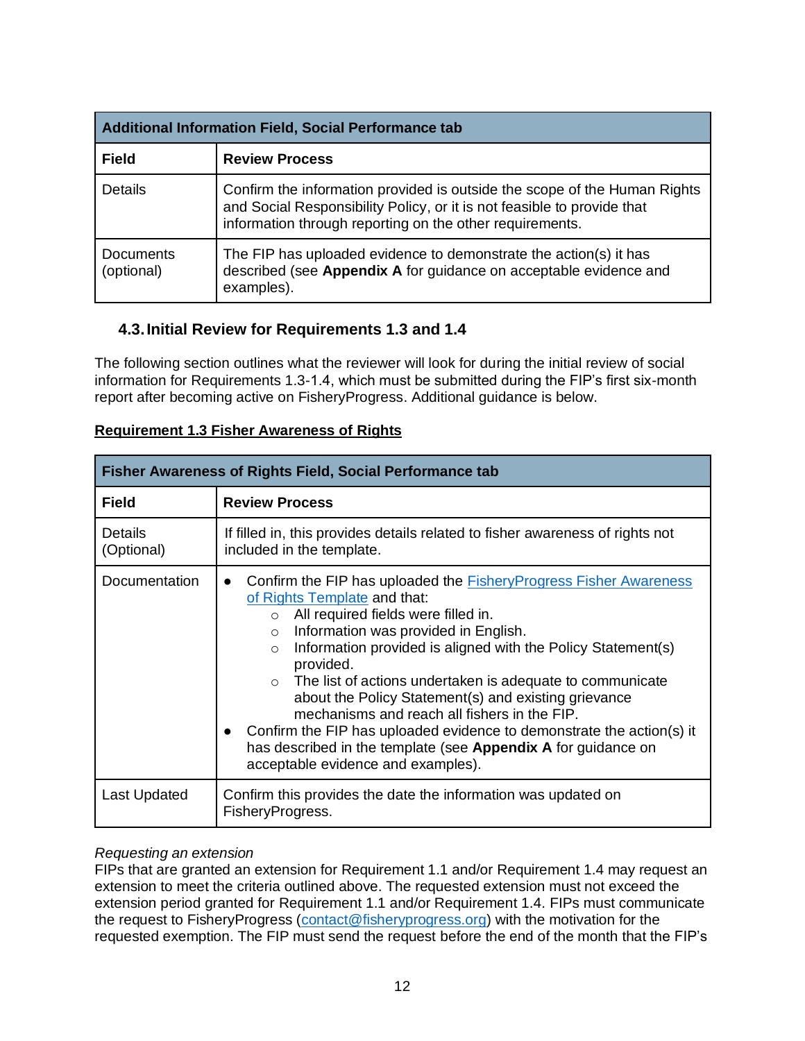| Additional Information Field, Social Performance tab |                                                                                                                                                                                                                  |
|------------------------------------------------------|------------------------------------------------------------------------------------------------------------------------------------------------------------------------------------------------------------------|
| <b>Field</b>                                         | <b>Review Process</b>                                                                                                                                                                                            |
| Details                                              | Confirm the information provided is outside the scope of the Human Rights<br>and Social Responsibility Policy, or it is not feasible to provide that<br>information through reporting on the other requirements. |
| Documents<br>(optional)                              | The FIP has uploaded evidence to demonstrate the action(s) it has<br>described (see Appendix A for guidance on acceptable evidence and<br>examples).                                                             |

# <span id="page-12-0"></span>**4.3.Initial Review for Requirements 1.3 and 1.4**

The following section outlines what the reviewer will look for during the initial review of social information for Requirements 1.3-1.4, which must be submitted during the FIP's first six-month report after becoming active on FisheryProgress. Additional guidance is below.

| <b>Fisher Awareness of Rights Field, Social Performance tab</b> |                                                                                                                                                                                                                                                                                                                                                                                                                                                                                                                                                                                                                                                                                     |
|-----------------------------------------------------------------|-------------------------------------------------------------------------------------------------------------------------------------------------------------------------------------------------------------------------------------------------------------------------------------------------------------------------------------------------------------------------------------------------------------------------------------------------------------------------------------------------------------------------------------------------------------------------------------------------------------------------------------------------------------------------------------|
| <b>Field</b>                                                    | <b>Review Process</b>                                                                                                                                                                                                                                                                                                                                                                                                                                                                                                                                                                                                                                                               |
| <b>Details</b><br>(Optional)                                    | If filled in, this provides details related to fisher awareness of rights not<br>included in the template.                                                                                                                                                                                                                                                                                                                                                                                                                                                                                                                                                                          |
| Documentation                                                   | Confirm the FIP has uploaded the <b>Fishery Progress Fisher Awareness</b><br>$\bullet$<br>of Rights Template and that:<br>All required fields were filled in.<br>$\circ$<br>Information was provided in English.<br>$\circ$<br>Information provided is aligned with the Policy Statement(s)<br>$\circ$<br>provided.<br>The list of actions undertaken is adequate to communicate<br>$\circ$<br>about the Policy Statement(s) and existing grievance<br>mechanisms and reach all fishers in the FIP.<br>Confirm the FIP has uploaded evidence to demonstrate the action(s) it<br>has described in the template (see Appendix A for guidance on<br>acceptable evidence and examples). |
| Last Updated                                                    | Confirm this provides the date the information was updated on<br>FisheryProgress.                                                                                                                                                                                                                                                                                                                                                                                                                                                                                                                                                                                                   |

## **Requirement 1.3 Fisher Awareness of Rights**

## *Requesting an extension*

FIPs that are granted an extension for Requirement 1.1 and/or Requirement 1.4 may request an extension to meet the criteria outlined above. The requested extension must not exceed the extension period granted for Requirement 1.1 and/or Requirement 1.4. FIPs must communicate the request to FisheryProgress [\(contact@fisheryprogress.org\)](mailto:contact@fisheryprogress.org) with the motivation for the requested exemption. The FIP must send the request before the end of the month that the FIP's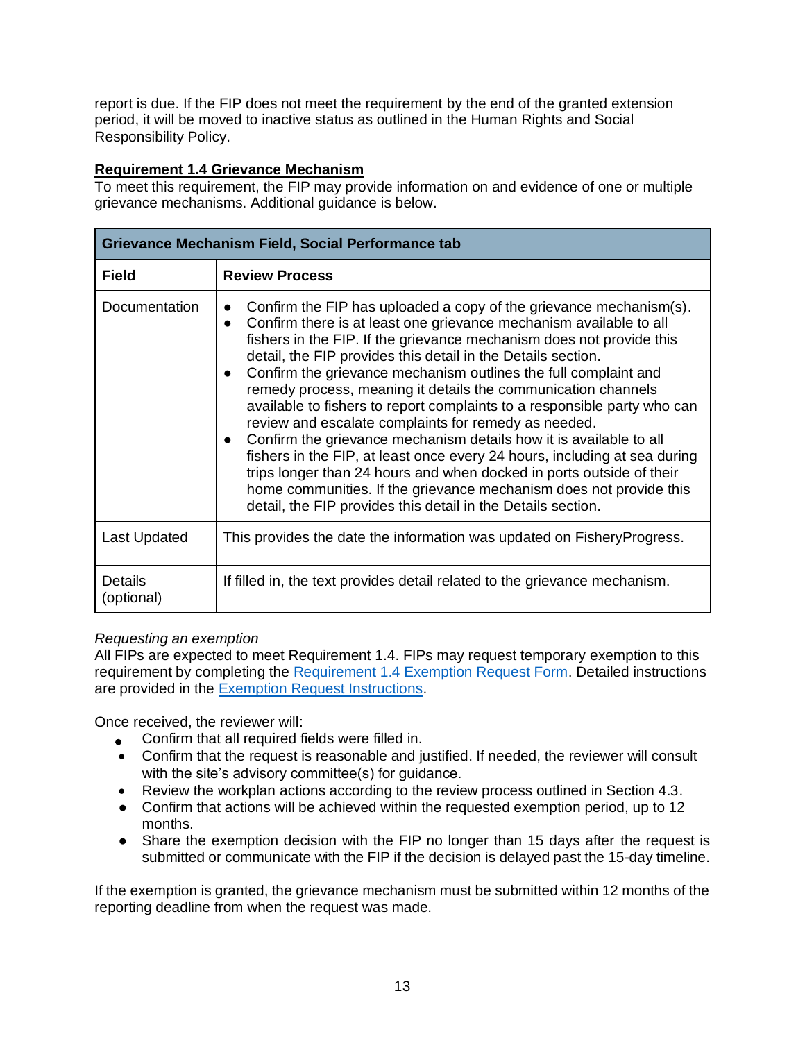report is due. If the FIP does not meet the requirement by the end of the granted extension period, it will be moved to inactive status as outlined in the Human Rights and Social Responsibility Policy.

## **Requirement 1.4 Grievance Mechanism**

To meet this requirement, the FIP may provide information on and evidence of one or multiple grievance mechanisms. Additional guidance is below.

| <b>Grievance Mechanism Field, Social Performance tab</b> |                                                                                                                                                                                                                                                                                                                                                                                                                                                                                                                                                                                                                                                                                                                                                                                                                                                                                                                                                     |  |
|----------------------------------------------------------|-----------------------------------------------------------------------------------------------------------------------------------------------------------------------------------------------------------------------------------------------------------------------------------------------------------------------------------------------------------------------------------------------------------------------------------------------------------------------------------------------------------------------------------------------------------------------------------------------------------------------------------------------------------------------------------------------------------------------------------------------------------------------------------------------------------------------------------------------------------------------------------------------------------------------------------------------------|--|
| <b>Field</b>                                             | <b>Review Process</b>                                                                                                                                                                                                                                                                                                                                                                                                                                                                                                                                                                                                                                                                                                                                                                                                                                                                                                                               |  |
| Documentation                                            | Confirm the FIP has uploaded a copy of the grievance mechanism(s).<br>Confirm there is at least one grievance mechanism available to all<br>$\bullet$<br>fishers in the FIP. If the grievance mechanism does not provide this<br>detail, the FIP provides this detail in the Details section.<br>Confirm the grievance mechanism outlines the full complaint and<br>$\bullet$<br>remedy process, meaning it details the communication channels<br>available to fishers to report complaints to a responsible party who can<br>review and escalate complaints for remedy as needed.<br>Confirm the grievance mechanism details how it is available to all<br>fishers in the FIP, at least once every 24 hours, including at sea during<br>trips longer than 24 hours and when docked in ports outside of their<br>home communities. If the grievance mechanism does not provide this<br>detail, the FIP provides this detail in the Details section. |  |
| Last Updated                                             | This provides the date the information was updated on Fishery Progress.                                                                                                                                                                                                                                                                                                                                                                                                                                                                                                                                                                                                                                                                                                                                                                                                                                                                             |  |
| <b>Details</b><br>(optional)                             | If filled in, the text provides detail related to the grievance mechanism.                                                                                                                                                                                                                                                                                                                                                                                                                                                                                                                                                                                                                                                                                                                                                                                                                                                                          |  |

### *Requesting an exemption*

All FIPs are expected to meet Requirement 1.4. FIPs may request temporary exemption to this requirement by completing the [Requirement 1.4 Exemption Request Form.](https://fisheryprogress.org/resources/launching-fip) Detailed instructions are provided in the [Exemption Request Instructions.](https://fisheryprogress.org/resources/launching-fip)

Once received, the reviewer will:

- Confirm that all required fields were filled in.
- Confirm that the request is reasonable and justified. If needed, the reviewer will consult with the site's advisory committee(s) for quidance.
- Review the workplan actions according to the review process outlined in Section 4.3.
- Confirm that actions will be achieved within the requested exemption period, up to 12 months.
- Share the exemption decision with the FIP no longer than 15 days after the request is submitted or communicate with the FIP if the decision is delayed past the 15-day timeline.

If the exemption is granted, the grievance mechanism must be submitted within 12 months of the reporting deadline from when the request was made.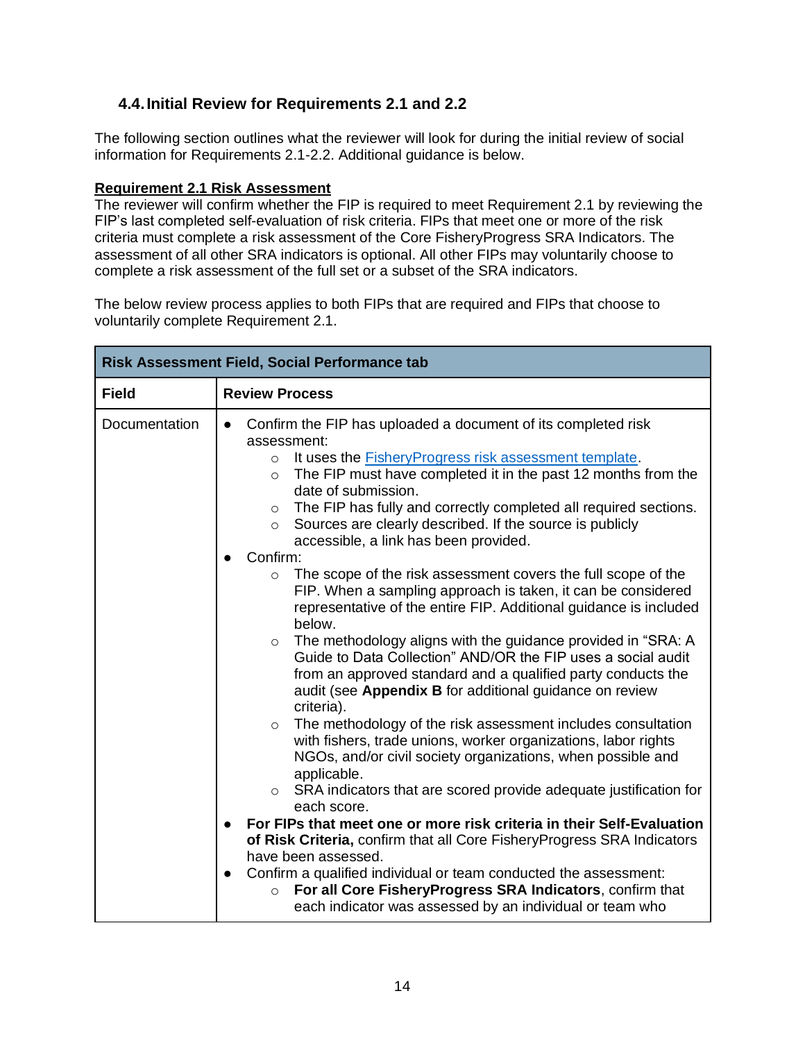# <span id="page-14-0"></span>**4.4.Initial Review for Requirements 2.1 and 2.2**

The following section outlines what the reviewer will look for during the initial review of social information for Requirements 2.1-2.2. Additional guidance is below.

## **Requirement 2.1 Risk Assessment**

The reviewer will confirm whether the FIP is required to meet Requirement 2.1 by reviewing the FIP's last completed self-evaluation of risk criteria. FIPs that meet one or more of the risk criteria must complete a risk assessment of the Core FisheryProgress SRA Indicators. The assessment of all other SRA indicators is optional. All other FIPs may voluntarily choose to complete a risk assessment of the full set or a subset of the SRA indicators.

The below review process applies to both FIPs that are required and FIPs that choose to voluntarily complete Requirement 2.1.

| <b>Risk Assessment Field, Social Performance tab</b> |                                                                                                                                                                                                                                                                                                                                                                                                                                                                                                                                                                                                                                                                                                                                                                                                                                                                                                                                                                                                                                                                                                                                                                                                                                                                                                                                                                                                                                                                                                                                                                                                                                                                                                                  |
|------------------------------------------------------|------------------------------------------------------------------------------------------------------------------------------------------------------------------------------------------------------------------------------------------------------------------------------------------------------------------------------------------------------------------------------------------------------------------------------------------------------------------------------------------------------------------------------------------------------------------------------------------------------------------------------------------------------------------------------------------------------------------------------------------------------------------------------------------------------------------------------------------------------------------------------------------------------------------------------------------------------------------------------------------------------------------------------------------------------------------------------------------------------------------------------------------------------------------------------------------------------------------------------------------------------------------------------------------------------------------------------------------------------------------------------------------------------------------------------------------------------------------------------------------------------------------------------------------------------------------------------------------------------------------------------------------------------------------------------------------------------------------|
| <b>Field</b>                                         | <b>Review Process</b>                                                                                                                                                                                                                                                                                                                                                                                                                                                                                                                                                                                                                                                                                                                                                                                                                                                                                                                                                                                                                                                                                                                                                                                                                                                                                                                                                                                                                                                                                                                                                                                                                                                                                            |
| Documentation                                        | Confirm the FIP has uploaded a document of its completed risk<br>assessment:<br>It uses the <b>Fishery Progress risk assessment template</b> .<br>$\circ$<br>The FIP must have completed it in the past 12 months from the<br>$\circ$<br>date of submission.<br>The FIP has fully and correctly completed all required sections.<br>$\circ$<br>Sources are clearly described. If the source is publicly<br>$\circ$<br>accessible, a link has been provided.<br>Confirm:<br>The scope of the risk assessment covers the full scope of the<br>$\circ$<br>FIP. When a sampling approach is taken, it can be considered<br>representative of the entire FIP. Additional guidance is included<br>below.<br>The methodology aligns with the guidance provided in "SRA: A<br>$\circ$<br>Guide to Data Collection" AND/OR the FIP uses a social audit<br>from an approved standard and a qualified party conducts the<br>audit (see Appendix B for additional guidance on review<br>criteria).<br>The methodology of the risk assessment includes consultation<br>$\circ$<br>with fishers, trade unions, worker organizations, labor rights<br>NGOs, and/or civil society organizations, when possible and<br>applicable.<br>SRA indicators that are scored provide adequate justification for<br>$\circ$<br>each score.<br>For FIPs that meet one or more risk criteria in their Self-Evaluation<br>of Risk Criteria, confirm that all Core Fishery Progress SRA Indicators<br>have been assessed.<br>Confirm a qualified individual or team conducted the assessment:<br>$\bullet$<br>For all Core FisheryProgress SRA Indicators, confirm that<br>$\circ$<br>each indicator was assessed by an individual or team who |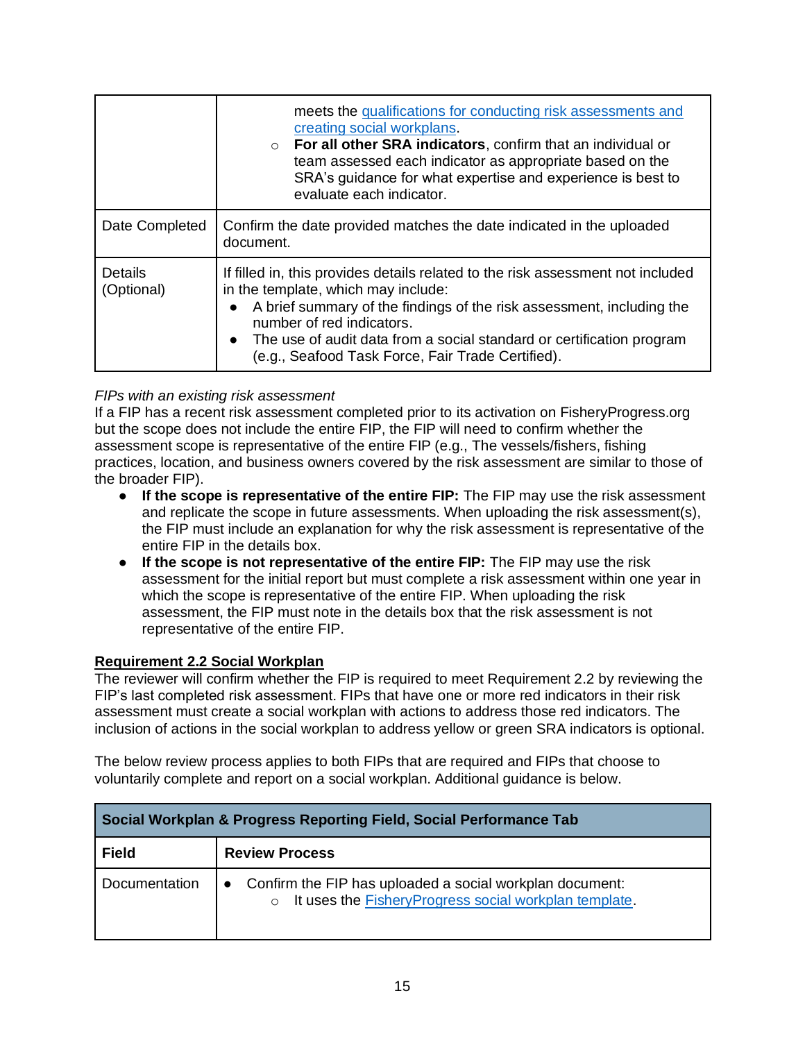|                              | meets the qualifications for conducting risk assessments and<br>creating social workplans.<br>For all other SRA indicators, confirm that an individual or<br>$\circ$<br>team assessed each indicator as appropriate based on the<br>SRA's guidance for what expertise and experience is best to<br>evaluate each indicator.                                  |  |
|------------------------------|--------------------------------------------------------------------------------------------------------------------------------------------------------------------------------------------------------------------------------------------------------------------------------------------------------------------------------------------------------------|--|
| Date Completed               | Confirm the date provided matches the date indicated in the uploaded<br>document.                                                                                                                                                                                                                                                                            |  |
| <b>Details</b><br>(Optional) | If filled in, this provides details related to the risk assessment not included<br>in the template, which may include:<br>A brief summary of the findings of the risk assessment, including the<br>number of red indicators.<br>• The use of audit data from a social standard or certification program<br>(e.g., Seafood Task Force, Fair Trade Certified). |  |

## *FIPs with an existing risk assessment*

If a FIP has a recent risk assessment completed prior to its activation on FisheryProgress.org but the scope does not include the entire FIP, the FIP will need to confirm whether the assessment scope is representative of the entire FIP (e.g., The vessels/fishers, fishing practices, location, and business owners covered by the risk assessment are similar to those of the broader FIP).

- **If the scope is representative of the entire FIP:** The FIP may use the risk assessment and replicate the scope in future assessments. When uploading the risk assessment(s), the FIP must include an explanation for why the risk assessment is representative of the entire FIP in the details box.
- **If the scope is not representative of the entire FIP:** The FIP may use the risk assessment for the initial report but must complete a risk assessment within one year in which the scope is representative of the entire FIP. When uploading the risk assessment, the FIP must note in the details box that the risk assessment is not representative of the entire FIP.

### **Requirement 2.2 Social Workplan**

The reviewer will confirm whether the FIP is required to meet Requirement 2.2 by reviewing the FIP's last completed risk assessment. FIPs that have one or more red indicators in their risk assessment must create a social workplan with actions to address those red indicators. The inclusion of actions in the social workplan to address yellow or green SRA indicators is optional.

The below review process applies to both FIPs that are required and FIPs that choose to voluntarily complete and report on a social workplan. Additional guidance is below.

| Social Workplan & Progress Reporting Field, Social Performance Tab |                                                                                                                     |  |
|--------------------------------------------------------------------|---------------------------------------------------------------------------------------------------------------------|--|
| <b>Field</b>                                                       | <b>Review Process</b>                                                                                               |  |
| Documentation                                                      | Confirm the FIP has uploaded a social workplan document:<br>o It uses the FisheryProgress social workplan template. |  |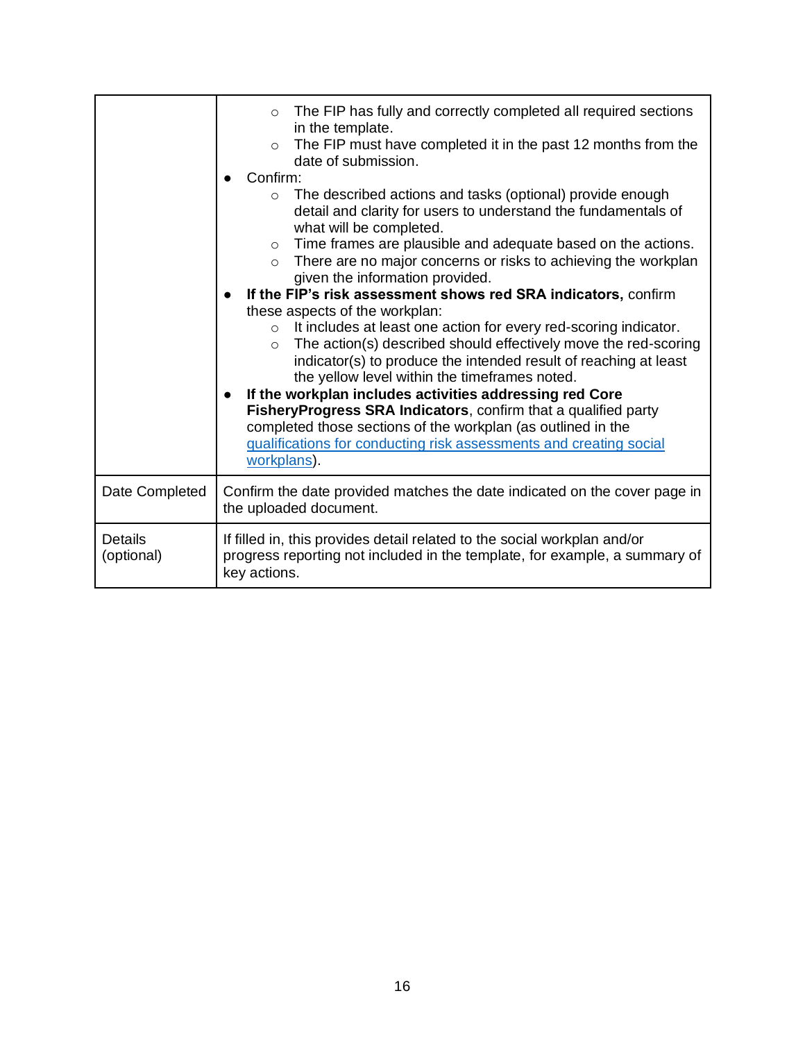|                              | The FIP has fully and correctly completed all required sections<br>$\circ$<br>in the template.<br>The FIP must have completed it in the past 12 months from the<br>$\circ$                                                                                                                                                                                                                                                                                                   |  |  |
|------------------------------|------------------------------------------------------------------------------------------------------------------------------------------------------------------------------------------------------------------------------------------------------------------------------------------------------------------------------------------------------------------------------------------------------------------------------------------------------------------------------|--|--|
|                              | date of submission.                                                                                                                                                                                                                                                                                                                                                                                                                                                          |  |  |
|                              | Confirm:                                                                                                                                                                                                                                                                                                                                                                                                                                                                     |  |  |
|                              | The described actions and tasks (optional) provide enough<br>$\circ$<br>detail and clarity for users to understand the fundamentals of<br>what will be completed.                                                                                                                                                                                                                                                                                                            |  |  |
|                              | Time frames are plausible and adequate based on the actions.<br>$\circ$                                                                                                                                                                                                                                                                                                                                                                                                      |  |  |
|                              | There are no major concerns or risks to achieving the workplan<br>$\circ$<br>given the information provided.                                                                                                                                                                                                                                                                                                                                                                 |  |  |
|                              | If the FIP's risk assessment shows red SRA indicators, confirm<br>these aspects of the workplan:                                                                                                                                                                                                                                                                                                                                                                             |  |  |
|                              |                                                                                                                                                                                                                                                                                                                                                                                                                                                                              |  |  |
|                              | It includes at least one action for every red-scoring indicator.<br>$\circ$<br>The action(s) described should effectively move the red-scoring<br>$\circ$<br>indicator(s) to produce the intended result of reaching at least<br>the yellow level within the timeframes noted.<br>If the workplan includes activities addressing red Core<br>Fishery Progress SRA Indicators, confirm that a qualified party<br>completed those sections of the workplan (as outlined in the |  |  |
|                              | qualifications for conducting risk assessments and creating social                                                                                                                                                                                                                                                                                                                                                                                                           |  |  |
|                              | workplans).                                                                                                                                                                                                                                                                                                                                                                                                                                                                  |  |  |
| Date Completed               | Confirm the date provided matches the date indicated on the cover page in<br>the uploaded document.                                                                                                                                                                                                                                                                                                                                                                          |  |  |
| <b>Details</b><br>(optional) | If filled in, this provides detail related to the social workplan and/or<br>progress reporting not included in the template, for example, a summary of<br>key actions.                                                                                                                                                                                                                                                                                                       |  |  |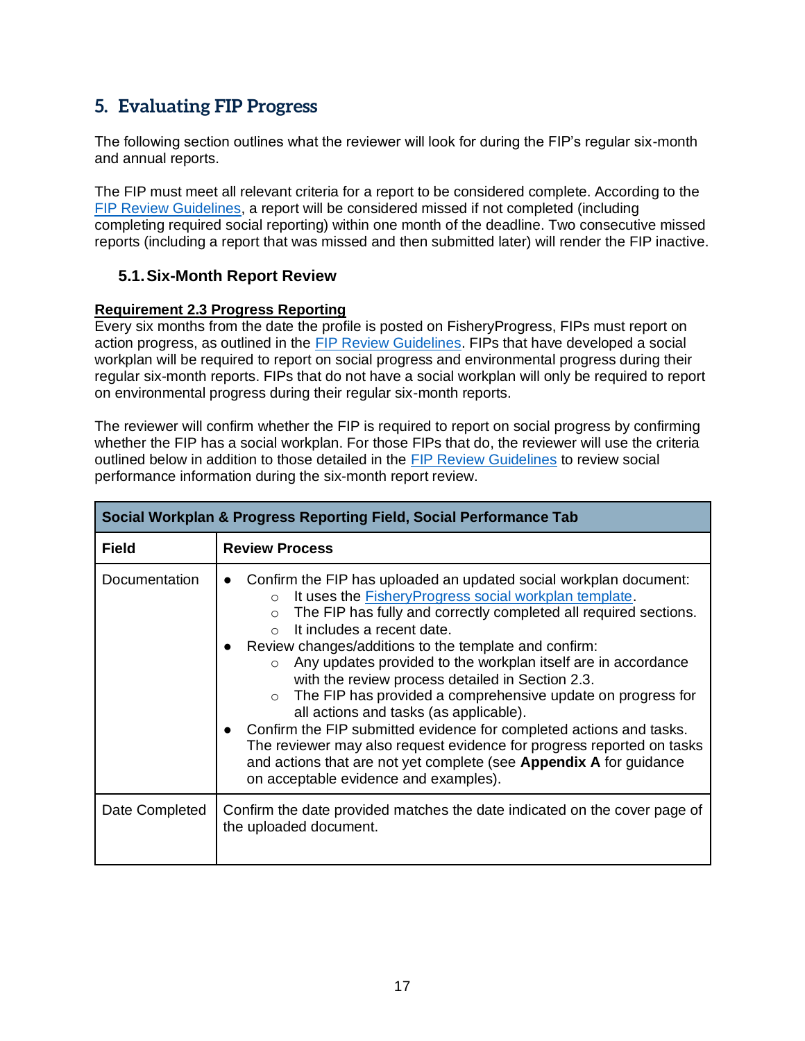# <span id="page-17-0"></span>**5. Evaluating FIP Progress**

The following section outlines what the reviewer will look for during the FIP's regular six-month and annual reports.

The FIP must meet all relevant criteria for a report to be considered complete. According to the [FIP Review Guidelines,](https://fisheryprogress.org/sites/default/files/document_files/FisheryProgress%20org%20Review%20Guidelines%202020%20-%20FINAL.pdf) a report will be considered missed if not completed (including completing required social reporting) within one month of the deadline. Two consecutive missed reports (including a report that was missed and then submitted later) will render the FIP inactive.

# <span id="page-17-1"></span>**5.1.Six-Month Report Review**

## **Requirement 2.3 Progress Reporting**

Every six months from the date the profile is posted on FisheryProgress, FIPs must report on action progress, as outlined in the [FIP Review Guidelines.](https://fisheryprogress.org/sites/default/files/document_files/FisheryProgress%20org%20Review%20Guidelines%202020%20-%20FINAL.pdf) FIPs that have developed a social workplan will be required to report on social progress and environmental progress during their regular six-month reports. FIPs that do not have a social workplan will only be required to report on environmental progress during their regular six-month reports.

The reviewer will confirm whether the FIP is required to report on social progress by confirming whether the FIP has a social workplan. For those FIPs that do, the reviewer will use the criteria outlined below in addition to those detailed in the [FIP Review Guidelines](https://fisheryprogress.org/sites/default/files/document_files/FisheryProgress%20org%20Review%20Guidelines%202020%20-%20FINAL.pdf) to review social performance information during the six-month report review.

| Social Workplan & Progress Reporting Field, Social Performance Tab |                                                                                                                                                                                                                                                                                                                                                                                                                                                                                                                                                                                                                                                                                                                                                                                                                                           |  |  |
|--------------------------------------------------------------------|-------------------------------------------------------------------------------------------------------------------------------------------------------------------------------------------------------------------------------------------------------------------------------------------------------------------------------------------------------------------------------------------------------------------------------------------------------------------------------------------------------------------------------------------------------------------------------------------------------------------------------------------------------------------------------------------------------------------------------------------------------------------------------------------------------------------------------------------|--|--|
| <b>Field</b>                                                       | <b>Review Process</b>                                                                                                                                                                                                                                                                                                                                                                                                                                                                                                                                                                                                                                                                                                                                                                                                                     |  |  |
| Documentation                                                      | Confirm the FIP has uploaded an updated social workplan document:<br>It uses the Fishery Progress social workplan template.<br>$\circ$<br>The FIP has fully and correctly completed all required sections.<br>$\circ$<br>It includes a recent date.<br>$\bigcap$<br>Review changes/additions to the template and confirm:<br>Any updates provided to the workplan itself are in accordance<br>$\circ$<br>with the review process detailed in Section 2.3.<br>$\circ$ The FIP has provided a comprehensive update on progress for<br>all actions and tasks (as applicable).<br>Confirm the FIP submitted evidence for completed actions and tasks.<br>The reviewer may also request evidence for progress reported on tasks<br>and actions that are not yet complete (see Appendix A for guidance<br>on acceptable evidence and examples). |  |  |
| Date Completed                                                     | Confirm the date provided matches the date indicated on the cover page of<br>the uploaded document.                                                                                                                                                                                                                                                                                                                                                                                                                                                                                                                                                                                                                                                                                                                                       |  |  |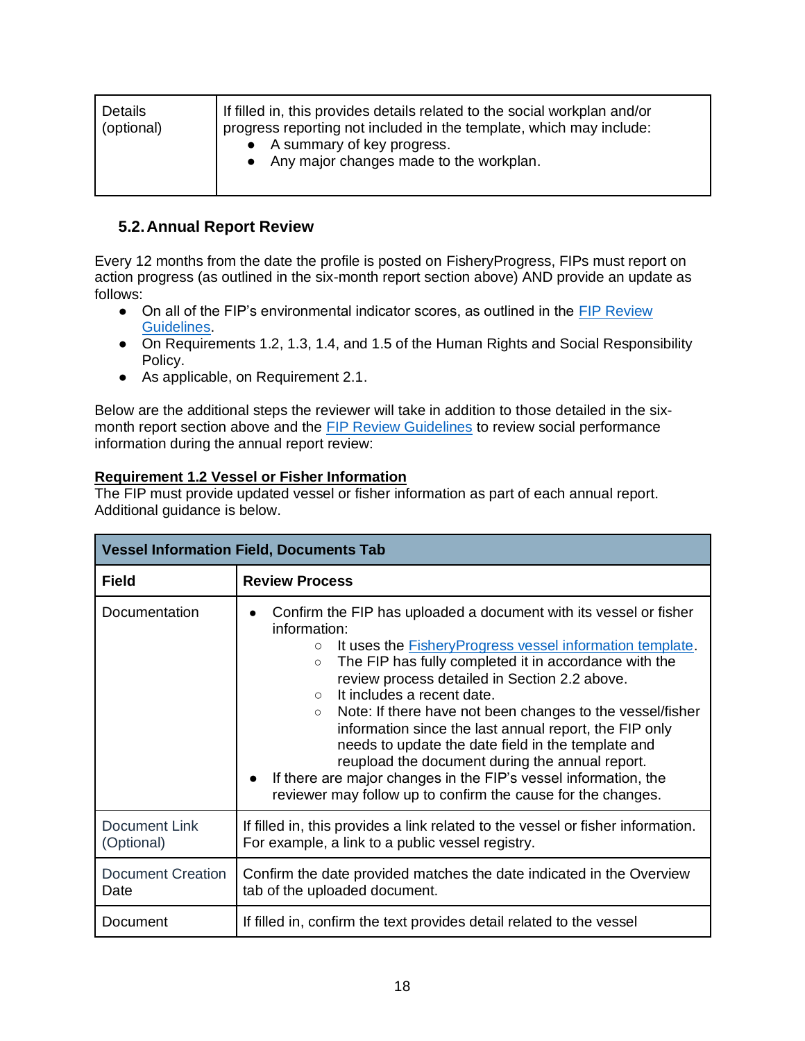| If filled in, this provides details related to the social workplan and/or<br><b>Details</b><br>(optional)<br>progress reporting not included in the template, which may include:<br>• A summary of key progress.<br>• Any major changes made to the workplan. |  |
|---------------------------------------------------------------------------------------------------------------------------------------------------------------------------------------------------------------------------------------------------------------|--|
|---------------------------------------------------------------------------------------------------------------------------------------------------------------------------------------------------------------------------------------------------------------|--|

# <span id="page-18-0"></span>**5.2.Annual Report Review**

Every 12 months from the date the profile is posted on FisheryProgress, FIPs must report on action progress (as outlined in the six-month report section above) AND provide an update as follows:

- On all of the FIP's environmental indicator scores, as outlined in the FIP Review [Guidelines.](https://fisheryprogress.org/sites/default/files/document_files/FisheryProgress%20org%20Review%20Guidelines%202020%20-%20FINAL.pdf)
- On Requirements 1.2, 1.3, 1.4, and 1.5 of the Human Rights and Social Responsibility Policy.
- As applicable, on Requirement 2.1.

Below are the additional steps the reviewer will take in addition to those detailed in the sixmonth report section above and the [FIP Review Guidelines](https://fisheryprogress.org/sites/default/files/document_files/FisheryProgress%20org%20Review%20Guidelines%202020%20-%20FINAL.pdf) to review social performance information during the annual report review:

### **Requirement 1.2 Vessel or Fisher Information**

The FIP must provide updated vessel or fisher information as part of each annual report. Additional guidance is below.

| <b>Vessel Information Field, Documents Tab</b> |                                                                                                                                                                                                                                                                                                                                                                                                                                                                                                                                                                                                                                                                                                                 |  |
|------------------------------------------------|-----------------------------------------------------------------------------------------------------------------------------------------------------------------------------------------------------------------------------------------------------------------------------------------------------------------------------------------------------------------------------------------------------------------------------------------------------------------------------------------------------------------------------------------------------------------------------------------------------------------------------------------------------------------------------------------------------------------|--|
| <b>Field</b>                                   | <b>Review Process</b>                                                                                                                                                                                                                                                                                                                                                                                                                                                                                                                                                                                                                                                                                           |  |
| Documentation                                  | Confirm the FIP has uploaded a document with its vessel or fisher<br>information:<br>It uses the <b>Fishery Progress</b> vessel information template.<br>$\circ$<br>The FIP has fully completed it in accordance with the<br>$\circ$<br>review process detailed in Section 2.2 above.<br>It includes a recent date.<br>$\bigcirc$<br>Note: If there have not been changes to the vessel/fisher<br>$\circ$<br>information since the last annual report, the FIP only<br>needs to update the date field in the template and<br>reupload the document during the annual report.<br>If there are major changes in the FIP's vessel information, the<br>reviewer may follow up to confirm the cause for the changes. |  |
| <b>Document Link</b><br>(Optional)             | If filled in, this provides a link related to the vessel or fisher information.<br>For example, a link to a public vessel registry.                                                                                                                                                                                                                                                                                                                                                                                                                                                                                                                                                                             |  |
| Document Creation<br>Date                      | Confirm the date provided matches the date indicated in the Overview<br>tab of the uploaded document.                                                                                                                                                                                                                                                                                                                                                                                                                                                                                                                                                                                                           |  |
| Document                                       | If filled in, confirm the text provides detail related to the vessel                                                                                                                                                                                                                                                                                                                                                                                                                                                                                                                                                                                                                                            |  |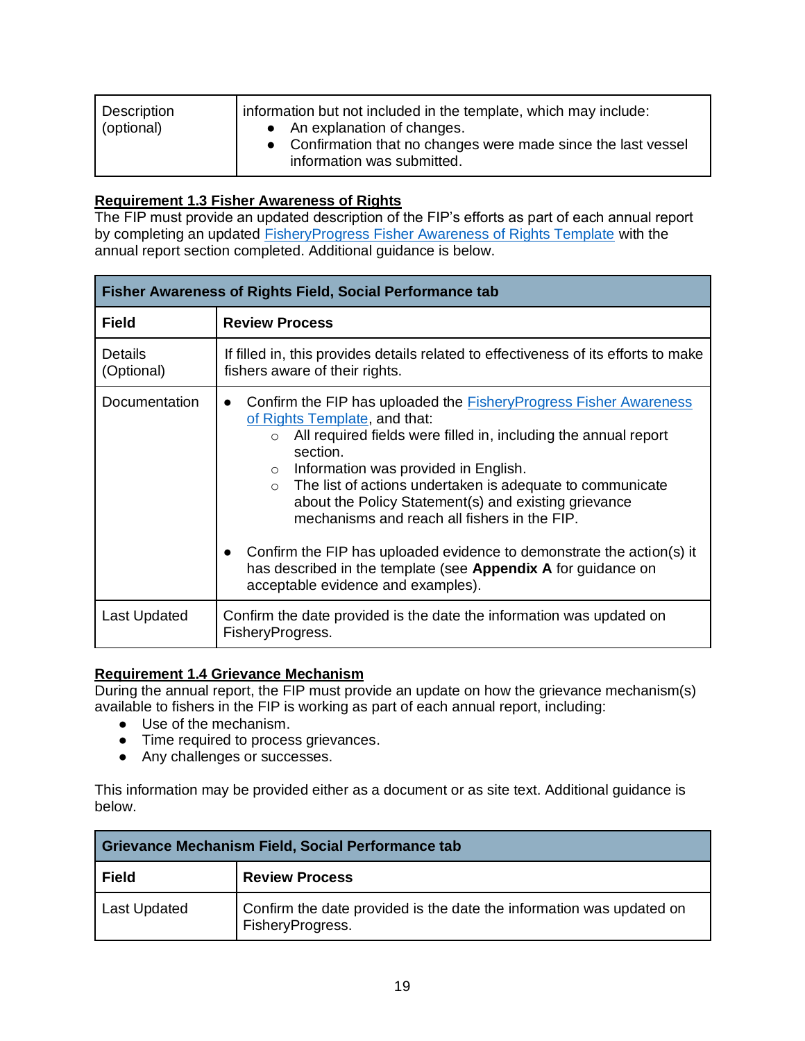| Description<br>(optional) | information but not included in the template, which may include:<br>• An explanation of changes.<br>• Confirmation that no changes were made since the last vessel<br>information was submitted. |
|---------------------------|--------------------------------------------------------------------------------------------------------------------------------------------------------------------------------------------------|
|---------------------------|--------------------------------------------------------------------------------------------------------------------------------------------------------------------------------------------------|

### **Requirement 1.3 Fisher Awareness of Rights**

The FIP must provide an updated description of the FIP's efforts as part of each annual report by completing an updated [FisheryProgress Fisher Awareness of Rights Template](https://fisheryprogress.org/resources/launching-fip) with the annual report section completed. Additional guidance is below.

| <b>Fisher Awareness of Rights Field, Social Performance tab</b> |                                                                                                                                                                                                                                                                                                                                                                                                                                                                                                                                                                                                                                      |  |  |
|-----------------------------------------------------------------|--------------------------------------------------------------------------------------------------------------------------------------------------------------------------------------------------------------------------------------------------------------------------------------------------------------------------------------------------------------------------------------------------------------------------------------------------------------------------------------------------------------------------------------------------------------------------------------------------------------------------------------|--|--|
| <b>Field</b>                                                    | <b>Review Process</b>                                                                                                                                                                                                                                                                                                                                                                                                                                                                                                                                                                                                                |  |  |
| <b>Details</b><br>(Optional)                                    | If filled in, this provides details related to effectiveness of its efforts to make<br>fishers aware of their rights.                                                                                                                                                                                                                                                                                                                                                                                                                                                                                                                |  |  |
| Documentation                                                   | Confirm the FIP has uploaded the <b>Fishery Progress Fisher Awareness</b><br>$\bullet$<br>of Rights Template, and that:<br>All required fields were filled in, including the annual report<br>$\circ$<br>section.<br>Information was provided in English.<br>$\circ$<br>The list of actions undertaken is adequate to communicate<br>$\circ$<br>about the Policy Statement(s) and existing grievance<br>mechanisms and reach all fishers in the FIP.<br>Confirm the FIP has uploaded evidence to demonstrate the action(s) it<br>has described in the template (see Appendix A for guidance on<br>acceptable evidence and examples). |  |  |
| Last Updated                                                    | Confirm the date provided is the date the information was updated on<br>FisheryProgress.                                                                                                                                                                                                                                                                                                                                                                                                                                                                                                                                             |  |  |

### **Requirement 1.4 Grievance Mechanism**

During the annual report, the FIP must provide an update on how the grievance mechanism(s) available to fishers in the FIP is working as part of each annual report, including:

- Use of the mechanism.
- Time required to process grievances.
- Any challenges or successes.

This information may be provided either as a document or as site text. Additional guidance is below.

| Grievance Mechanism Field, Social Performance tab |                                                                                          |  |
|---------------------------------------------------|------------------------------------------------------------------------------------------|--|
| <b>Field</b>                                      | <b>Review Process</b>                                                                    |  |
| <b>Last Updated</b>                               | Confirm the date provided is the date the information was updated on<br>FisheryProgress. |  |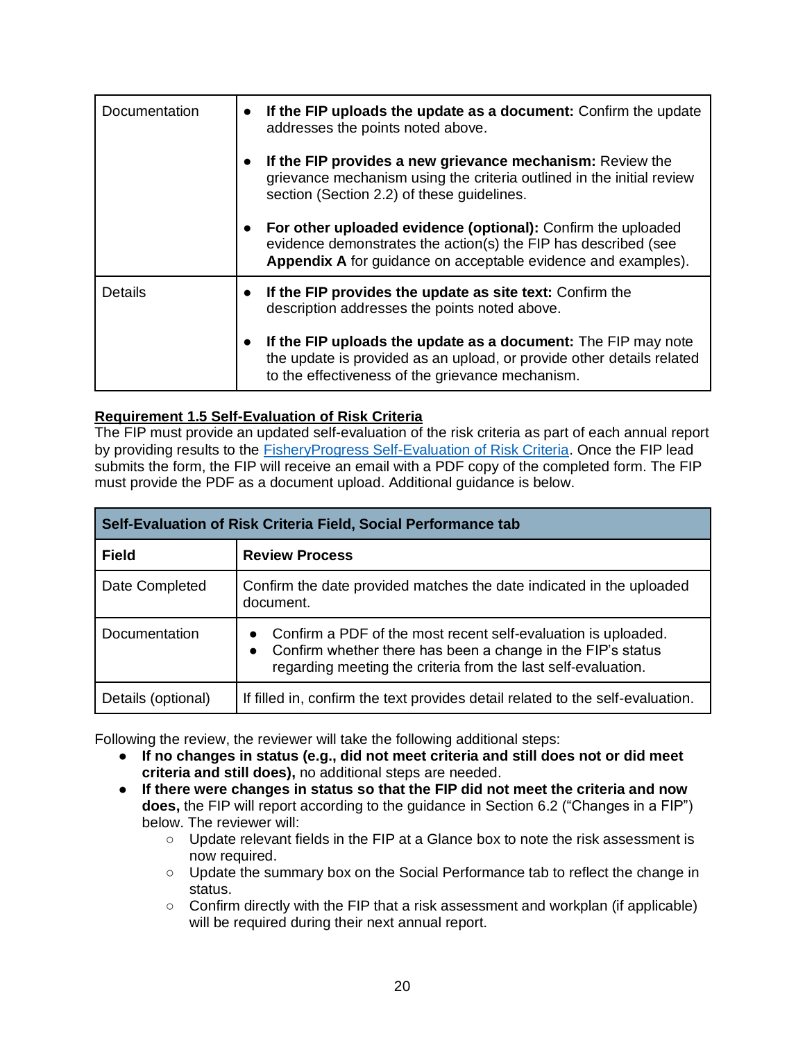| Documentation  | $\bullet$ | If the FIP uploads the update as a document: Confirm the update<br>addresses the points noted above.                                                                                            |  |
|----------------|-----------|-------------------------------------------------------------------------------------------------------------------------------------------------------------------------------------------------|--|
|                |           | If the FIP provides a new grievance mechanism: Review the<br>grievance mechanism using the criteria outlined in the initial review<br>section (Section 2.2) of these guidelines.                |  |
|                |           | For other uploaded evidence (optional): Confirm the uploaded<br>evidence demonstrates the action(s) the FIP has described (see<br>Appendix A for guidance on acceptable evidence and examples). |  |
| <b>Details</b> |           | If the FIP provides the update as site text: Confirm the<br>description addresses the points noted above.                                                                                       |  |
|                | $\bullet$ | If the FIP uploads the update as a document: The FIP may note<br>the update is provided as an upload, or provide other details related<br>to the effectiveness of the grievance mechanism.      |  |

# **Requirement 1.5 Self-Evaluation of Risk Criteria**

The FIP must provide an updated self-evaluation of the risk criteria as part of each annual report by providing results to the [FisheryProgress Self-Evaluation of Risk Criteria.](https://form.jotform.com/FisheryProgress/self-evaluation-of-risk-criteria) Once the FIP lead submits the form, the FIP will receive an email with a PDF copy of the completed form. The FIP must provide the PDF as a document upload. Additional guidance is below.

| Self-Evaluation of Risk Criteria Field, Social Performance tab |                                                                                                                                                                                                                         |  |
|----------------------------------------------------------------|-------------------------------------------------------------------------------------------------------------------------------------------------------------------------------------------------------------------------|--|
| <b>Field</b>                                                   | <b>Review Process</b>                                                                                                                                                                                                   |  |
| Date Completed                                                 | Confirm the date provided matches the date indicated in the uploaded<br>document.                                                                                                                                       |  |
| Documentation                                                  | Confirm a PDF of the most recent self-evaluation is uploaded.<br>$\bullet$<br>Confirm whether there has been a change in the FIP's status<br>$\bullet$<br>regarding meeting the criteria from the last self-evaluation. |  |
| Details (optional)                                             | If filled in, confirm the text provides detail related to the self-evaluation.                                                                                                                                          |  |

Following the review, the reviewer will take the following additional steps:

- **If no changes in status (e.g., did not meet criteria and still does not or did meet criteria and still does),** no additional steps are needed.
- **If there were changes in status so that the FIP did not meet the criteria and now does,** the FIP will report according to the guidance in Section 6.2 ("Changes in a FIP") below. The reviewer will:
	- Update relevant fields in the FIP at a Glance box to note the risk assessment is now required.
	- Update the summary box on the Social Performance tab to reflect the change in status.
	- $\circ$  Confirm directly with the FIP that a risk assessment and workplan (if applicable) will be required during their next annual report.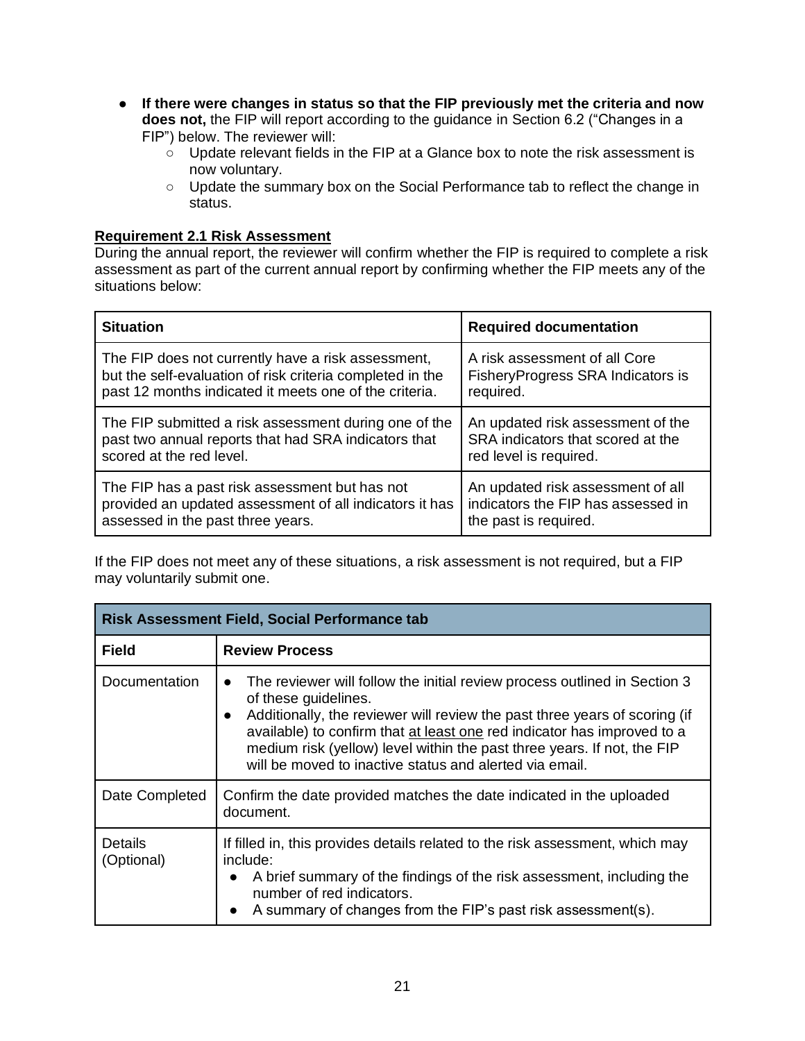- **If there were changes in status so that the FIP previously met the criteria and now does not,** the FIP will report according to the guidance in Section 6.2 ("Changes in a FIP") below. The reviewer will:
	- Update relevant fields in the FIP at a Glance box to note the risk assessment is now voluntary.
	- Update the summary box on the Social Performance tab to reflect the change in status.

#### **Requirement 2.1 Risk Assessment**

During the annual report, the reviewer will confirm whether the FIP is required to complete a risk assessment as part of the current annual report by confirming whether the FIP meets any of the situations below:

| <b>Situation</b>                                          | <b>Required documentation</b>      |
|-----------------------------------------------------------|------------------------------------|
| The FIP does not currently have a risk assessment,        | A risk assessment of all Core      |
| but the self-evaluation of risk criteria completed in the | FisheryProgress SRA Indicators is  |
| past 12 months indicated it meets one of the criteria.    | required.                          |
| The FIP submitted a risk assessment during one of the     | An updated risk assessment of the  |
| past two annual reports that had SRA indicators that      | SRA indicators that scored at the  |
| scored at the red level.                                  | red level is required.             |
| The FIP has a past risk assessment but has not            | An updated risk assessment of all  |
| provided an updated assessment of all indicators it has   | indicators the FIP has assessed in |
| assessed in the past three years.                         | the past is required.              |

If the FIP does not meet any of these situations, a risk assessment is not required, but a FIP may voluntarily submit one.

| <b>Risk Assessment Field, Social Performance tab</b> |                                                                                                                                                                                                                                                                                                                                                                                                  |
|------------------------------------------------------|--------------------------------------------------------------------------------------------------------------------------------------------------------------------------------------------------------------------------------------------------------------------------------------------------------------------------------------------------------------------------------------------------|
| <b>Field</b>                                         | <b>Review Process</b>                                                                                                                                                                                                                                                                                                                                                                            |
| Documentation                                        | The reviewer will follow the initial review process outlined in Section 3<br>of these guidelines.<br>Additionally, the reviewer will review the past three years of scoring (if<br>available) to confirm that at least one red indicator has improved to a<br>medium risk (yellow) level within the past three years. If not, the FIP<br>will be moved to inactive status and alerted via email. |
| Date Completed                                       | Confirm the date provided matches the date indicated in the uploaded<br>document.                                                                                                                                                                                                                                                                                                                |
| <b>Details</b><br>(Optional)                         | If filled in, this provides details related to the risk assessment, which may<br>include:<br>A brief summary of the findings of the risk assessment, including the<br>number of red indicators.<br>A summary of changes from the FIP's past risk assessment(s).                                                                                                                                  |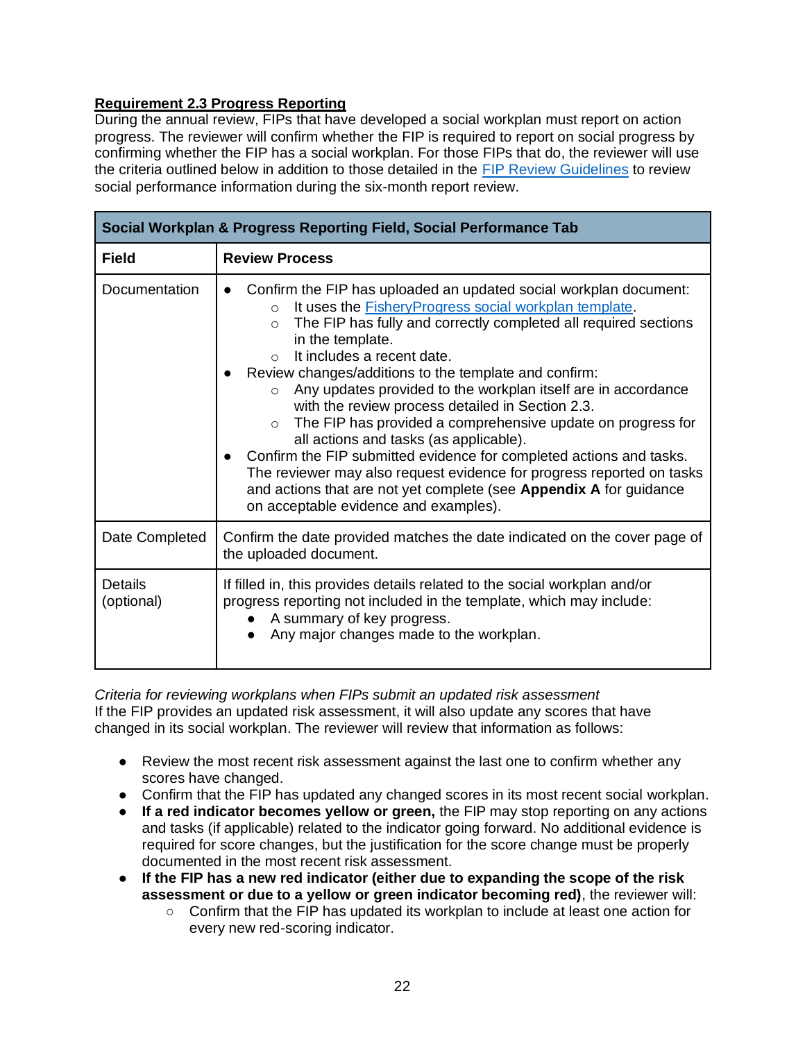# **Requirement 2.3 Progress Reporting**

During the annual review, FIPs that have developed a social workplan must report on action progress. The reviewer will confirm whether the FIP is required to report on social progress by confirming whether the FIP has a social workplan. For those FIPs that do, the reviewer will use the criteria outlined below in addition to those detailed in the [FIP Review Guidelines](https://fisheryprogress.org/sites/default/files/document_files/FisheryProgress%20org%20Review%20Guidelines%202020%20-%20FINAL.pdf) to review social performance information during the six-month report review.

| Social Workplan & Progress Reporting Field, Social Performance Tab |                                                                                                                                                                                                                                                                                                                                                                                                                                                                                                                                                                                                                                                                                                                                                                                                                                                                      |  |
|--------------------------------------------------------------------|----------------------------------------------------------------------------------------------------------------------------------------------------------------------------------------------------------------------------------------------------------------------------------------------------------------------------------------------------------------------------------------------------------------------------------------------------------------------------------------------------------------------------------------------------------------------------------------------------------------------------------------------------------------------------------------------------------------------------------------------------------------------------------------------------------------------------------------------------------------------|--|
| <b>Field</b>                                                       | <b>Review Process</b>                                                                                                                                                                                                                                                                                                                                                                                                                                                                                                                                                                                                                                                                                                                                                                                                                                                |  |
| Documentation                                                      | Confirm the FIP has uploaded an updated social workplan document:<br>It uses the <b>Fishery Progress</b> social workplan template.<br>$\Omega$<br>The FIP has fully and correctly completed all required sections<br>$\circ$<br>in the template.<br>It includes a recent date.<br>$\cap$<br>Review changes/additions to the template and confirm:<br>Any updates provided to the workplan itself are in accordance<br>$\circ$<br>with the review process detailed in Section 2.3.<br>The FIP has provided a comprehensive update on progress for<br>$\circ$<br>all actions and tasks (as applicable).<br>Confirm the FIP submitted evidence for completed actions and tasks.<br>The reviewer may also request evidence for progress reported on tasks<br>and actions that are not yet complete (see Appendix A for guidance<br>on acceptable evidence and examples). |  |
| Date Completed                                                     | Confirm the date provided matches the date indicated on the cover page of<br>the uploaded document.                                                                                                                                                                                                                                                                                                                                                                                                                                                                                                                                                                                                                                                                                                                                                                  |  |
| <b>Details</b><br>(optional)                                       | If filled in, this provides details related to the social workplan and/or<br>progress reporting not included in the template, which may include:<br>A summary of key progress.<br>Any major changes made to the workplan.                                                                                                                                                                                                                                                                                                                                                                                                                                                                                                                                                                                                                                            |  |

*Criteria for reviewing workplans when FIPs submit an updated risk assessment* If the FIP provides an updated risk assessment, it will also update any scores that have changed in its social workplan. The reviewer will review that information as follows:

- Review the most recent risk assessment against the last one to confirm whether any scores have changed.
- Confirm that the FIP has updated any changed scores in its most recent social workplan.
- **If a red indicator becomes yellow or green,** the FIP may stop reporting on any actions and tasks (if applicable) related to the indicator going forward. No additional evidence is required for score changes, but the justification for the score change must be properly documented in the most recent risk assessment.
- **If the FIP has a new red indicator (either due to expanding the scope of the risk assessment or due to a yellow or green indicator becoming red)**, the reviewer will:
	- Confirm that the FIP has updated its workplan to include at least one action for every new red-scoring indicator.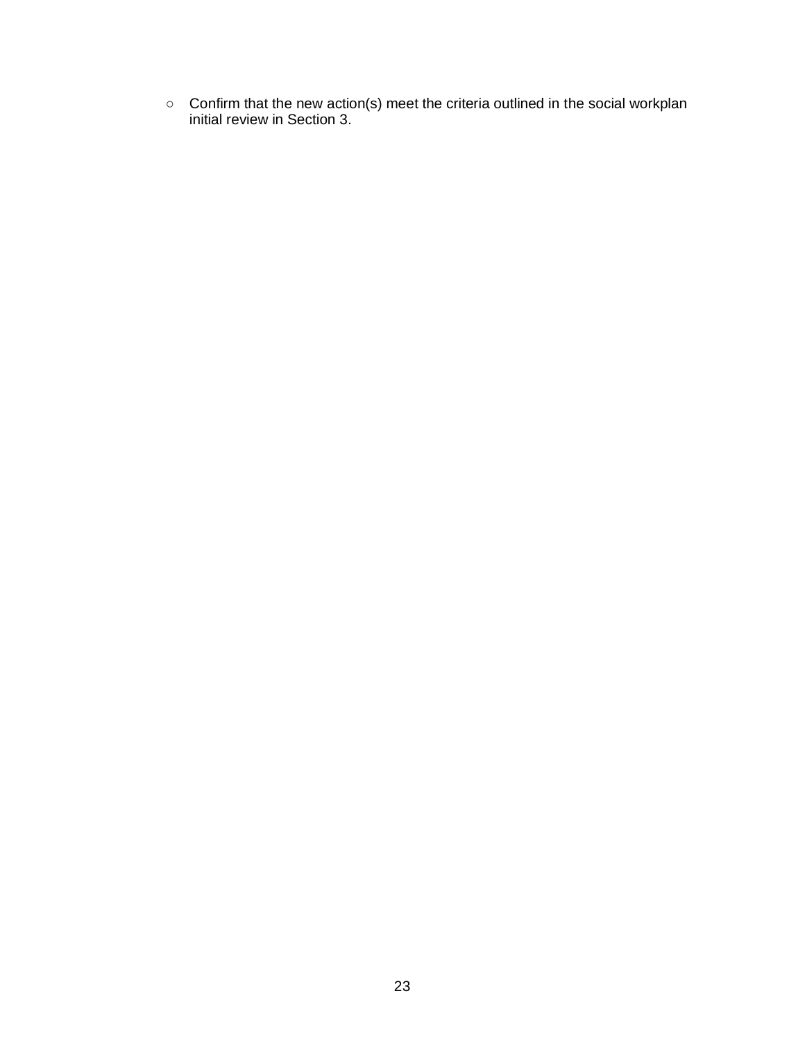○ Confirm that the new action(s) meet the criteria outlined in the social workplan initial review in Section 3.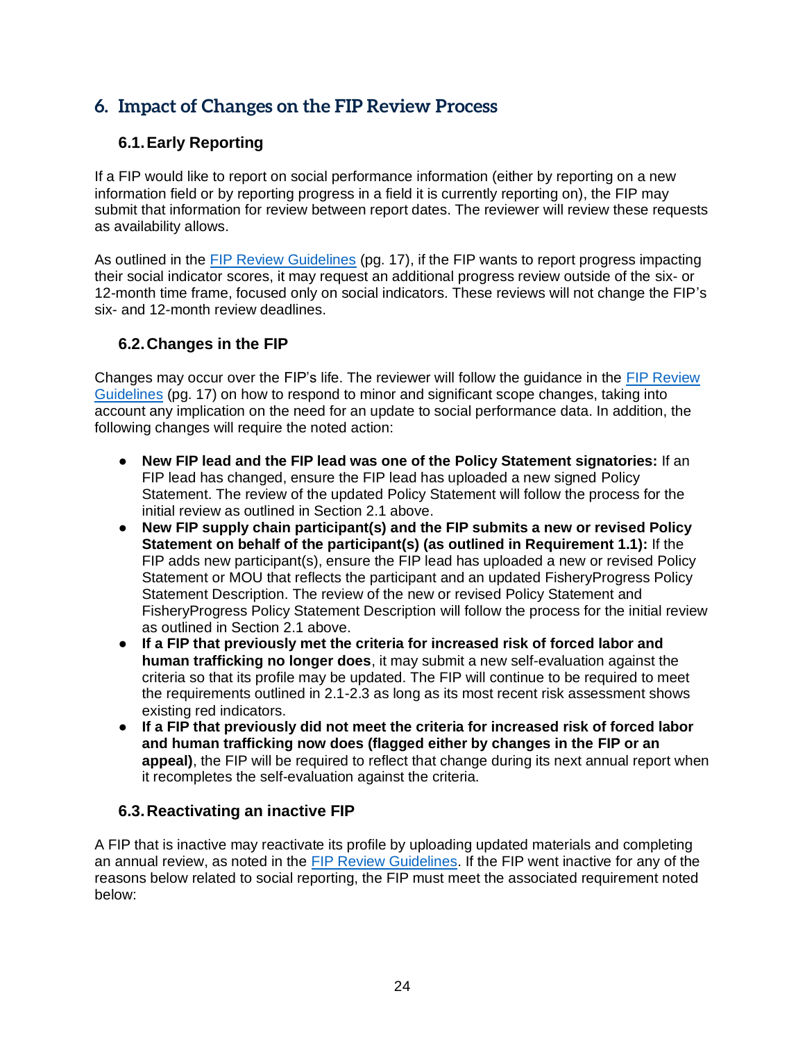# <span id="page-24-0"></span>**6. Impact of Changes on the FIP Review Process**

# <span id="page-24-1"></span>**6.1.Early Reporting**

If a FIP would like to report on social performance information (either by reporting on a new information field or by reporting progress in a field it is currently reporting on), the FIP may submit that information for review between report dates. The reviewer will review these requests as availability allows.

As outlined in the [FIP Review Guidelines](https://fisheryprogress.org/sites/default/files/document_files/FisheryProgress%20org%20Review%20Guidelines%202020%20-%20FINAL.pdf) (pg. 17), if the FIP wants to report progress impacting their social indicator scores, it may request an additional progress review outside of the six- or 12-month time frame, focused only on social indicators. These reviews will not change the FIP's six- and 12-month review deadlines.

# <span id="page-24-2"></span>**6.2.Changes in the FIP**

Changes may occur over the FIP's life. The reviewer will follow the guidance in the [FIP Review](https://fisheryprogress.org/sites/default/files/document_files/FisheryProgress%20org%20Review%20Guidelines%202020%20-%20FINAL.pdf)  [Guidelines](https://fisheryprogress.org/sites/default/files/document_files/FisheryProgress%20org%20Review%20Guidelines%202020%20-%20FINAL.pdf) (pg. 17) on how to respond to minor and significant scope changes, taking into account any implication on the need for an update to social performance data. In addition, the following changes will require the noted action:

- **New FIP lead and the FIP lead was one of the Policy Statement signatories:** If an FIP lead has changed, ensure the FIP lead has uploaded a new signed Policy Statement. The review of the updated Policy Statement will follow the process for the initial review as outlined in Section 2.1 above.
- **New FIP supply chain participant(s) and the FIP submits a new or revised Policy Statement on behalf of the participant(s) (as outlined in Requirement 1.1):** If the FIP adds new participant(s), ensure the FIP lead has uploaded a new or revised Policy Statement or MOU that reflects the participant and an updated FisheryProgress Policy Statement Description. The review of the new or revised Policy Statement and FisheryProgress Policy Statement Description will follow the process for the initial review as outlined in Section 2.1 above.
- **If a FIP that previously met the criteria for increased risk of forced labor and human trafficking no longer does**, it may submit a new self-evaluation against the criteria so that its profile may be updated. The FIP will continue to be required to meet the requirements outlined in 2.1-2.3 as long as its most recent risk assessment shows existing red indicators.
- **If a FIP that previously did not meet the criteria for increased risk of forced labor and human trafficking now does (flagged either by changes in the FIP or an appeal)**, the FIP will be required to reflect that change during its next annual report when it recompletes the self-evaluation against the criteria.

# <span id="page-24-3"></span>**6.3.Reactivating an inactive FIP**

A FIP that is inactive may reactivate its profile by uploading updated materials and completing an annual review, as noted in the [FIP Review Guidelines.](https://fisheryprogress.org/sites/default/files/document_files/FisheryProgress%20org%20Review%20Guidelines%202020%20-%20FINAL.pdf) If the FIP went inactive for any of the reasons below related to social reporting, the FIP must meet the associated requirement noted below: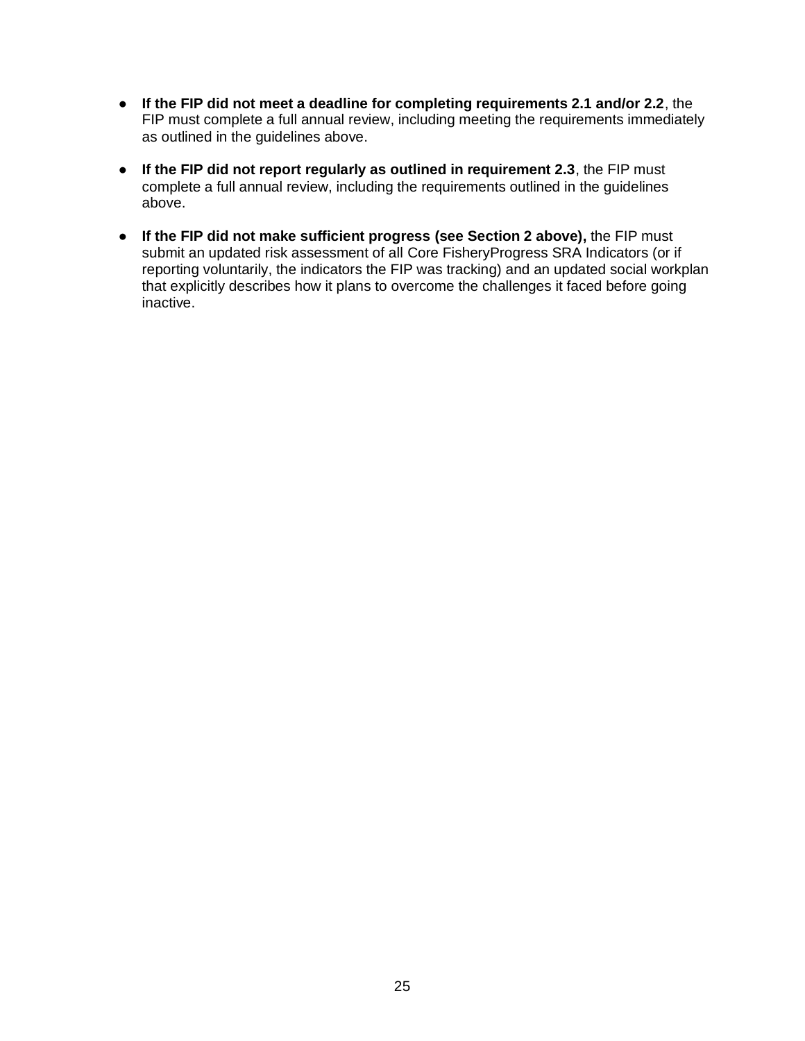- **If the FIP did not meet a deadline for completing requirements 2.1 and/or 2.2**, the FIP must complete a full annual review, including meeting the requirements immediately as outlined in the guidelines above.
- **If the FIP did not report regularly as outlined in requirement 2.3**, the FIP must complete a full annual review, including the requirements outlined in the guidelines above.
- **If the FIP did not make sufficient progress (see Section 2 above),** the FIP must submit an updated risk assessment of all Core FisheryProgress SRA Indicators (or if reporting voluntarily, the indicators the FIP was tracking) and an updated social workplan that explicitly describes how it plans to overcome the challenges it faced before going inactive.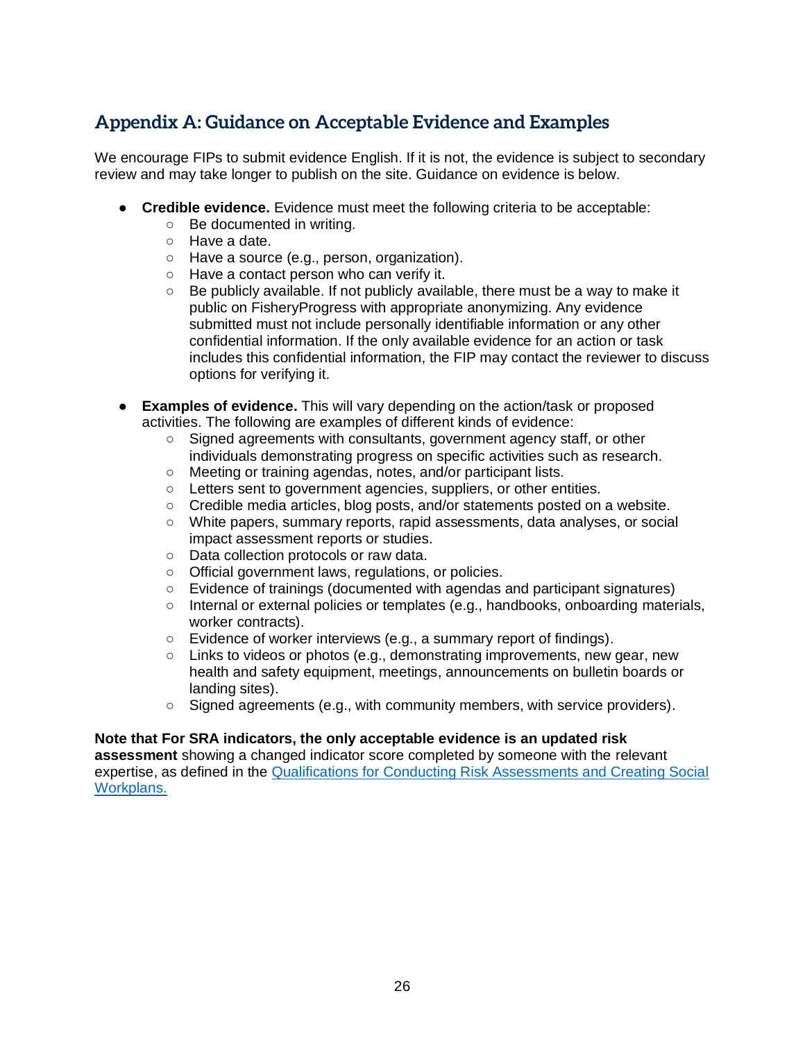# <span id="page-26-0"></span>**Appendix A: Guidance on Acceptable Evidence and Examples**

We encourage FIPs to submit evidence English. If it is not, the evidence is subject to secondary review and may take longer to publish on the site. Guidance on evidence is below.

- **Credible evidence.** Evidence must meet the following criteria to be acceptable:
	- Be documented in writing.
	- Have a date.
	- Have a source (e.g., person, organization).
	- Have a contact person who can verify it.
	- $\circ$  Be publicly available. If not publicly available, there must be a way to make it public on FisheryProgress with appropriate anonymizing. Any evidence submitted must not include personally identifiable information or any other confidential information. If the only available evidence for an action or task includes this confidential information, the FIP may contact the reviewer to discuss options for verifying it.
- **Examples of evidence.** This will vary depending on the action/task or proposed activities. The following are examples of different kinds of evidence:
	- Signed agreements with consultants, government agency staff, or other individuals demonstrating progress on specific activities such as research.
	- Meeting or training agendas, notes, and/or participant lists.
	- Letters sent to government agencies, suppliers, or other entities.
	- Credible media articles, blog posts, and/or statements posted on a website.
	- White papers, summary reports, rapid assessments, data analyses, or social impact assessment reports or studies.
	- Data collection protocols or raw data.
	- Official government laws, regulations, or policies.
	- Evidence of trainings (documented with agendas and participant signatures)
	- Internal or external policies or templates (e.g., handbooks, onboarding materials, worker contracts).
	- Evidence of worker interviews (e.g., a summary report of findings).
	- $\circ$  Links to videos or photos (e.g., demonstrating improvements, new gear, new health and safety equipment, meetings, announcements on bulletin boards or landing sites).
	- $\circ$  Signed agreements (e.g., with community members, with service providers).

# **Note that For SRA indicators, the only acceptable evidence is an updated risk**

**assessment** showing a changed indicator score completed by someone with the relevant expertise, as defined in the [Qualifications for Conducting Risk Assessments and Creating Social](https://fisheryprogress.org/resources-fips/comprehensive-fip-consultant-criteria)  [Workplans.](https://fisheryprogress.org/resources-fips/comprehensive-fip-consultant-criteria)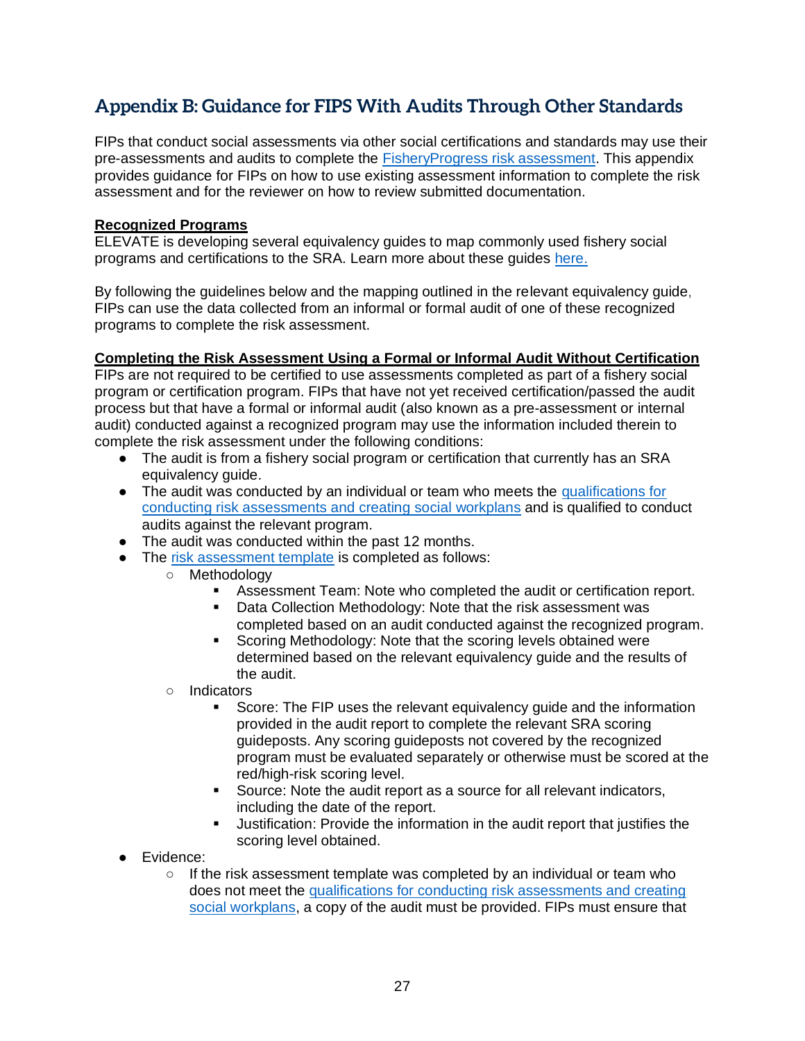# <span id="page-27-0"></span>**Appendix B: Guidance for FIPS With Audits Through Other Standards**

FIPs that conduct social assessments via other social certifications and standards may use their pre-assessments and audits to complete the [FisheryProgress risk assessment.](https://fisheryprogress.org/resources/launching-fip) This appendix provides guidance for FIPs on how to use existing assessment information to complete the risk assessment and for the reviewer on how to review submitted documentation.

#### **Recognized Programs**

ELEVATE is developing several equivalency guides to map commonly used fishery social programs and certifications to the SRA. Learn more about these guides [here.](http://www.fisheryprogress.org/resources-social-responsibility)

By following the guidelines below and the mapping outlined in the relevant equivalency guide, FIPs can use the data collected from an informal or formal audit of one of these recognized programs to complete the risk assessment.

### **Completing the Risk Assessment Using a Formal or Informal Audit Without Certification**

FIPs are not required to be certified to use assessments completed as part of a fishery social program or certification program. FIPs that have not yet received certification/passed the audit process but that have a formal or informal audit (also known as a pre-assessment or internal audit) conducted against a recognized program may use the information included therein to complete the risk assessment under the following conditions:

- The audit is from a fishery social program or certification that currently has an SRA equivalency guide.
- The audit was conducted by an individual or team who meets the qualifications for [conducting risk assessments and creating social](https://fisheryprogress.org/resources-fips/find-qualified-consultant) workplans and is qualified to conduct audits against the relevant program.
- The audit was conducted within the past 12 months.
- The [risk assessment template](https://fisheryprogress.org/resources/launching-fip) is completed as follows:
	- Methodology
		- Assessment Team: Note who completed the audit or certification report.
		- Data Collection Methodology: Note that the risk assessment was completed based on an audit conducted against the recognized program.
		- Scoring Methodology: Note that the scoring levels obtained were determined based on the relevant equivalency guide and the results of the audit.
	- Indicators
		- Score: The FIP uses the relevant equivalency guide and the information provided in the audit report to complete the relevant SRA scoring guideposts. Any scoring guideposts not covered by the recognized program must be evaluated separately or otherwise must be scored at the red/high-risk scoring level.
		- Source: Note the audit report as a source for all relevant indicators, including the date of the report.
		- **■** Justification: Provide the information in the audit report that justifies the scoring level obtained.
- Evidence:
	- $\circ$  If the risk assessment template was completed by an individual or team who does not meet the [qualifications for conducting risk assessments and creating](https://fisheryprogress.org/resources-fips/find-qualified-consultant)  [social workplans,](https://fisheryprogress.org/resources-fips/find-qualified-consultant) a copy of the audit must be provided. FIPs must ensure that